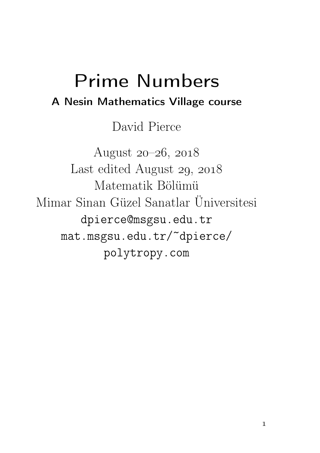# Prime Numbers A Nesin Mathematics Village course

David Pierce

August  $20 - 26$ ,  $2018$ Last edited August 29, 2018 Matematik Bölümü Mimar Sinan Güzel Sanatlar Üniversitesi dpierce@msgsu.edu.tr mat.msgsu.edu.tr/~dpierce/ polytropy.com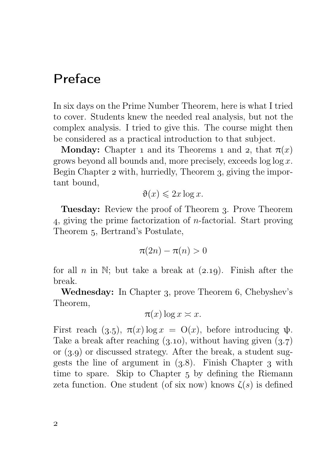## Preface

In six days on the Prime Number Theorem, here is what I tried to cover. Students knew the needed real analysis, but not the complex analysis. I tried to give this. The course might then be considered as a practical introduction to that subject.

**Monday:** Chapter 1 and its Theorems 1 and 2, that  $\pi(x)$ grows beyond all bounds and, more precisely, exceeds  $\log \log x$ . Begin Chapter 2 with, hurriedly, Theorem 3, giving the important bound,

$$
\vartheta(x) \leqslant 2x \log x.
$$

Tuesday: Review the proof of Theorem 3. Prove Theorem , giving the prime factorization of n-factorial. Start proving Theorem 5, Bertrand's Postulate,

$$
\pi(2n) - \pi(n) > 0
$$

for all n in N; but take a break at  $(2.19)$ . Finish after the break.

**Wednesday:** In Chapter 3, prove Theorem 6, Chebyshev's Theorem,

$$
\pi(x)\log x \asymp x.
$$

First reach (3.5),  $\pi(x) \log x = O(x)$ , before introducing  $\psi$ . Take a break after reaching  $(3.10)$ , without having given  $(3.7)$ or  $(3.9)$  or discussed strategy. After the break, a student suggests the line of argument in  $(3.8)$ . Finish Chapter 3 with time to spare. Skip to Chapter 5 by defining the Riemann zeta function. One student (of six now) knows  $\zeta(s)$  is defined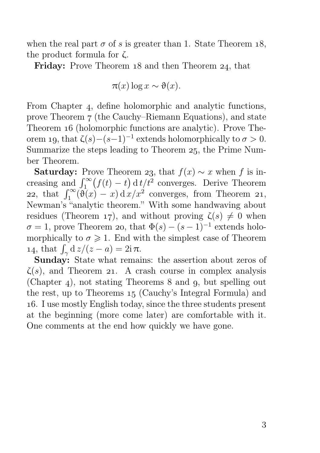when the real part  $\sigma$  of s is greater than 1. State Theorem 18, the product formula for ζ.

Friday: Prove Theorem 18 and then Theorem 24, that

$$
\pi(x) \log x \sim \vartheta(x).
$$

From Chapter 4, define holomorphic and analytic functions, prove Theorem 7 (the Cauchy–Riemann Equations), and state Theorem 16 (holomorphic functions are analytic). Prove Theorem 19, that  $\zeta(s)-(s-1)^{-1}$  extends holomorphically to  $\sigma > 0$ . Summarize the steps leading to Theorem 25, the Prime Number Theorem.

**Saturday:** Prove Theorem 23, that  $f(x) \sim x$  when f is increasing and  $\int_1^{\infty} (f(t) - t) dt/t^2$  converges. Derive Theorem 22, that  $\int_1^{\infty} (\vartheta(x) - x) dx dx'$  converges, from Theorem 21, Newman's "analytic theorem." With some handwaving about residues (Theorem 17), and without proving  $\zeta(s) \neq 0$  when  $\sigma = 1$ , prove Theorem 20, that  $\Phi(s) - (s-1)^{-1}$  extends holomorphically to  $\sigma \geq 1$ . End with the simplest case of Theorem 14, that  $\int_{\gamma} d z/(z-a) = 2i \pi$ .

Sunday: State what remains: the assertion about zeros of  $\zeta(s)$ , and Theorem 21. A crash course in complex analysis (Chapter 4), not stating Theorems  $8$  and  $9$ , but spelling out the rest, up to Theorems 15 (Cauchy's Integral Formula) and . I use mostly English today, since the three students present at the beginning (more come later) are comfortable with it. One comments at the end how quickly we have gone.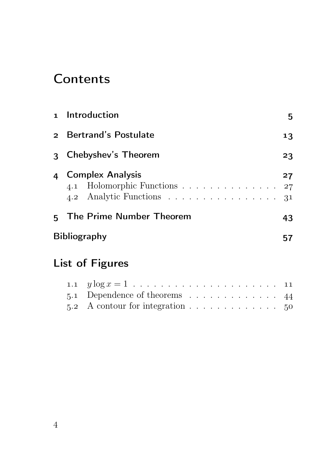## **Contents**

|                           | 1 Introduction                                                                                                       | 5  |  |  |  |
|---------------------------|----------------------------------------------------------------------------------------------------------------------|----|--|--|--|
|                           | 2 Bertrand's Postulate                                                                                               | 13 |  |  |  |
|                           | 3 Chebyshev's Theorem                                                                                                | 23 |  |  |  |
|                           | 4 Complex Analysis<br>4.1 Holomorphic Functions 27<br>4.2 Analytic Functions $\ldots \ldots \ldots \ldots \ldots$ 31 | 27 |  |  |  |
|                           | 5 The Prime Number Theorem                                                                                           | 43 |  |  |  |
| <b>Bibliography</b><br>57 |                                                                                                                      |    |  |  |  |
|                           | List of Figures                                                                                                      |    |  |  |  |

| 5.1 Dependence of theorems $\ldots \ldots \ldots \ldots$ 44    |  |  |  |  |  |  |  |
|----------------------------------------------------------------|--|--|--|--|--|--|--|
| 5.2 A contour for integration $\ldots \ldots \ldots \ldots$ 50 |  |  |  |  |  |  |  |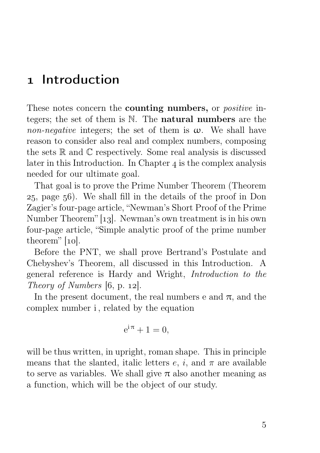## 1 Introduction

These notes concern the **counting numbers**, or *positive* integers; the set of them is N. The natural numbers are the non-negative integers; the set of them is  $\omega$ . We shall have reason to consider also real and complex numbers, composing the sets  $\mathbb R$  and  $\mathbb C$  respectively. Some real analysis is discussed later in this Introduction. In Chapter  $\alpha$  is the complex analysis needed for our ultimate goal.

That goal is to prove the Prime Number Theorem (Theorem , page ). We shall fill in the details of the proof in Don Zagier's four-page article, "Newman's Short Proof of the Prime Number Theorem" [13]. Newman's own treatment is in his own four-page article, "Simple analytic proof of the prime number theorem"  $[10]$ .

Before the PNT, we shall prove Bertrand's Postulate and Chebyshev's Theorem, all discussed in this Introduction. A general reference is Hardy and Wright, Introduction to the Theory of Numbers  $[6, p. 12]$ .

In the present document, the real numbers e and  $\pi$ , and the complex number i , related by the equation

$$
e^{i\pi} + 1 = 0,
$$

will be thus written, in upright, roman shape. This in principle means that the slanted, italic letters  $e$ ,  $i$ , and  $\pi$  are available to serve as variables. We shall give  $\pi$  also another meaning as a function, which will be the object of our study.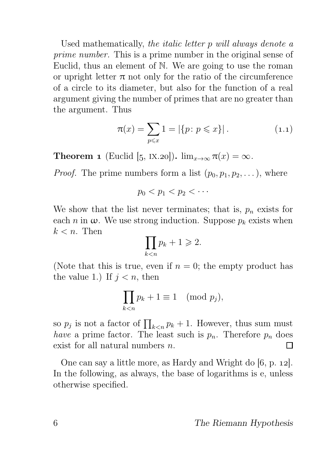Used mathematically, the italic letter p will always denote a prime number. This is a prime number in the original sense of Euclid, thus an element of N. We are going to use the roman or upright letter  $\pi$  not only for the ratio of the circumference of a circle to its diameter, but also for the function of a real argument giving the number of primes that are no greater than the argument. Thus

$$
\pi(x) = \sum_{p \leq x} 1 = |\{p : p \leq x\}|.
$$
 (1.1)

**Theorem 1** (Euclid [5, IX.20]).  $\lim_{x\to\infty} \pi(x) = \infty$ .

*Proof.* The prime numbers form a list  $(p_0, p_1, p_2, \dots)$ , where

$$
p_0 < p_1 < p_2 < \cdots
$$

We show that the list never terminates; that is,  $p_n$  exists for each n in  $\omega$ . We use strong induction. Suppose  $p_k$  exists when  $k < n$ . Then

$$
\prod_{k < n} p_k + 1 \geqslant 2.
$$

(Note that this is true, even if  $n = 0$ ; the empty product has the value 1.) If  $j < n$ , then

$$
\prod_{k < n} p_k + 1 \equiv 1 \pmod{p_j},
$$

so  $p_j$  is not a factor of  $\prod_{k \le n} p_k + 1$ . However, thus sum must have a prime factor. The least such is  $p_n$ . Therefore  $p_n$  does exist for all natural numbers n. П

One can say a little more, as Hardy and Wright do  $[6, p. 12]$ . In the following, as always, the base of logarithms is e, unless otherwise specified.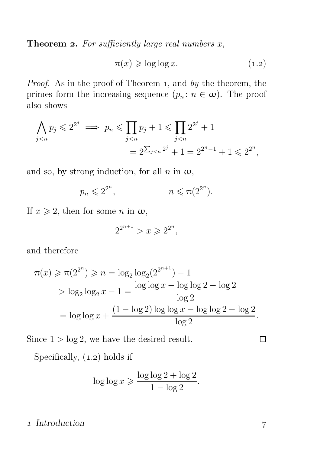**Theorem 2.** For sufficiently large real numbers  $x$ ,

$$
\pi(x) \geqslant \log \log x. \tag{1.2}
$$

Proof. As in the proof of Theorem 1, and by the theorem, the primes form the increasing sequence  $(p_n : n \in \omega)$ . The proof also shows

$$
\bigwedge_{j < n} p_j \leqslant 2^{2^j} \implies p_n \leqslant \prod_{j < n} p_j + 1 \leqslant \prod_{j < n} 2^{2^j} + 1
$$
\n
$$
= 2^{\sum_{j < n} 2^j} + 1 = 2^{2^n - 1} + 1 \leqslant 2^{2^n},
$$

and so, by strong induction, for all  $n$  in  $\omega$ ,

$$
p_n \leqslant 2^{2^n}, \qquad \qquad n \leqslant \pi(2^{2^n}).
$$

If  $x \ge 2$ , then for some *n* in  $\omega$ ,

$$
2^{2^{n+1}} > x \ge 2^{2^n},
$$

and therefore

$$
\pi(x) \ge \pi(2^{2^n}) \ge n = \log_2 \log_2(2^{2^{n+1}}) - 1
$$
  
> 
$$
\log_2 \log_2 x - 1 = \frac{\log \log x - \log \log 2 - \log 2}{\log 2}
$$
  
= 
$$
\log \log x + \frac{(1 - \log 2) \log \log x - \log \log 2 - \log 2}{\log 2}.
$$

Since  $1 > log 2$ , we have the desired result.

Specifically,  $(1.2)$  holds if

$$
\log \log x \geqslant \frac{\log \log 2 + \log 2}{1 - \log 2}.
$$

## 1 Introduction 7

 $\Box$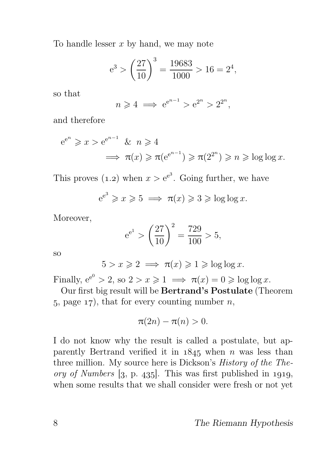To handle lesser  $x$  by hand, we may note

$$
e^3 > \left(\frac{27}{10}\right)^3 = \frac{19683}{1000} > 16 = 2^4,
$$

so that

$$
n \ge 4 \implies e^{e^{n-1}} > e^{2^n} > 2^{2^n},
$$

and therefore

$$
e^{e^n} \ge x > e^{e^{n-1}} \& n \ge 4
$$
  
 $\implies \pi(x) \ge \pi(e^{e^{n-1}}) \ge \pi(2^{2^n}) \ge n \ge \log \log x.$ 

This proves (1.2) when  $x > e^{e^3}$ . Going further, we have

$$
e^{e^3} \ge x \ge 5 \implies \pi(x) \ge 3 \ge \log \log x.
$$

Moreover,

$$
e^{e^1}
$$
 >  $\left(\frac{27}{10}\right)^2$  =  $\frac{729}{100}$  > 5,

so

$$
5 > x \geqslant 2 \implies \pi(x) \geqslant 1 \geqslant \log \log x.
$$

Finally,  $e^{e^0} > 2$ , so  $2 > x \ge 1 \implies \pi(x) = 0 \ge \log \log x$ .

Our first big result will be Bertrand's Postulate (Theorem 5, page  $17$ , that for every counting number n,

$$
\pi(2n)-\pi(n)>0.
$$

I do not know why the result is called a postulate, but apparently Bertrand verified it in  $1845$  when n was less than three million. My source here is Dickson's History of the Theory of Numbers  $[3, p. 435]$ . This was first published in 1919, when some results that we shall consider were fresh or not yet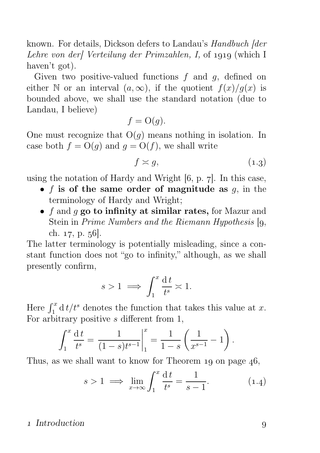known. For details, Dickson defers to Landau's Handbuch [der Lehre von der] Verteilung der Primzahlen, I, of 1919 (which I haven't got).

Given two positive-valued functions  $f$  and  $g$ , defined on either N or an interval  $(a, \infty)$ , if the quotient  $f(x)/g(x)$  is bounded above, we shall use the standard notation (due to Landau, I believe)

$$
f = \mathrm{O}(g).
$$

One must recognize that  $O(g)$  means nothing in isolation. In case both  $f = O(q)$  and  $q = O(f)$ , we shall write

$$
f \approx g,\tag{1.3}
$$

using the notation of Hardy and Wright  $[6, p. 7]$ . In this case,

- f is of the same order of magnitude as  $q$ , in the terminology of Hardy and Wright;
- $f$  and  $g$  go to infinity at similar rates, for Mazur and Stein in *Prime Numbers and the Riemann Hypothesis*  $\mathfrak{g}$ , ch. 17, p. 56.

The latter terminology is potentially misleading, since a constant function does not "go to infinity," although, as we shall presently confirm,

$$
s > 1 \implies \int_1^x \frac{\mathrm{d}t}{t^s} \asymp 1.
$$

Here  $\int_1^x \mathrm{d}t/t^s$  denotes the function that takes this value at x. For arbitrary positive  $s$  different from 1,

$$
\int_1^x \frac{dt}{t^s} = \frac{1}{(1-s)t^{s-1}} \bigg|_1^x = \frac{1}{1-s} \left( \frac{1}{x^{s-1}} - 1 \right).
$$

Thus, as we shall want to know for Theorem  $19$  on page  $46$ ,

$$
s > 1 \implies \lim_{x \to \infty} \int_1^x \frac{\mathrm{d}t}{t^s} = \frac{1}{s - 1}.\tag{1.4}
$$

## 1 Introduction 9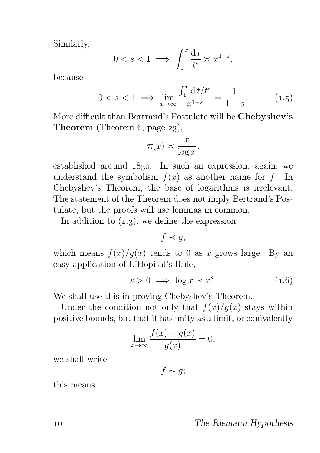Similarly,

$$
0 < s < 1 \implies \int_1^x \frac{\mathrm{d}t}{t^s} < x^{1-s},
$$

because

$$
0 < s < 1 \implies \lim_{x \to \infty} \frac{\int_1^x \mathrm{d} \, t / t^s}{x^{1-s}} = \frac{1}{1-s}.\tag{1.5}
$$

More difficult than Bertrand's Postulate will be Chebyshev's **Theorem** (Theorem 6, page  $23$ ),

$$
\pi(x) \asymp \frac{x}{\log x},
$$

established around  $1850$ . In such an expression, again, we understand the symbolism  $f(x)$  as another name for f. In Chebyshev's Theorem, the base of logarithms is irrelevant. The statement of the Theorem does not imply Bertrand's Postulate, but the proofs will use lemmas in common.

In addition to  $(1.3)$ , we define the expression

 $f \prec q$ ,

which means  $f(x)/g(x)$  tends to 0 as x grows large. By an easy application of L'Hôpital's Rule,

$$
s > 0 \implies \log x \prec x^s. \tag{1.6}
$$

We shall use this in proving Chebyshev's Theorem.

Under the condition not only that  $f(x)/g(x)$  stays within positive bounds, but that it has unity as a limit, or equivalently

$$
\lim_{x \to \infty} \frac{f(x) - g(x)}{g(x)} = 0,
$$

we shall write

 $f \sim g$ ;

this means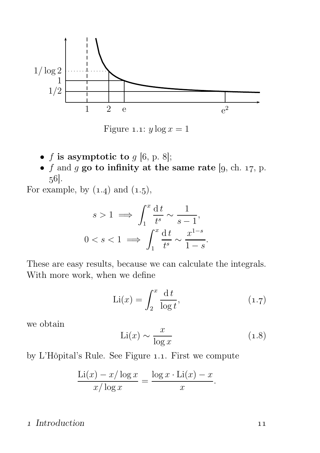

Figure 1.1:  $y \log x = 1$ 

- f is asymptotic to  $g$  [6, p. 8];
- f and g go to infinity at the same rate [9, ch. 17, p.  $56$ .

For example, by  $(1.4)$  and  $(1.5)$ ,

$$
s > 1 \implies \int_1^x \frac{dt}{t^s} \sim \frac{1}{s - 1},
$$
  

$$
0 < s < 1 \implies \int_1^x \frac{dt}{t^s} \sim \frac{x^{1 - s}}{1 - s}.
$$

These are easy results, because we can calculate the integrals. With more work, when we define

$$
\text{Li}(x) = \int_2^x \frac{\mathrm{d}t}{\log t},\tag{1.7}
$$

we obtain

$$
\text{Li}(x) \sim \frac{x}{\log x} \tag{1.8}
$$

by L'Hôpital's Rule. See Figure 1.1. First we compute

$$
\frac{\text{Li}(x) - x/\log x}{x/\log x} = \frac{\log x \cdot \text{Li}(x) - x}{x}.
$$

## 1 Introduction 11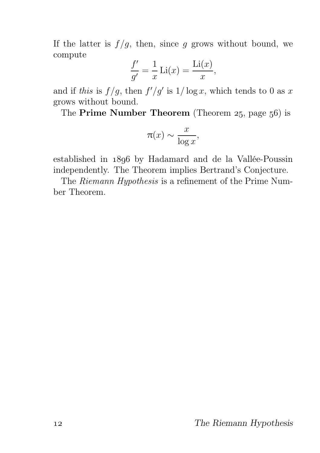If the latter is  $f/g$ , then, since g grows without bound, we compute

$$
\frac{f'}{g'} = \frac{1}{x}\operatorname{Li}(x) = \frac{\operatorname{Li}(x)}{x},
$$

and if this is  $f/g$ , then  $f'/g'$  is  $1/\log x$ , which tends to 0 as x grows without bound.

The Prime Number Theorem (Theorem  $25$ , page  $56$ ) is

$$
\pi(x) \sim \frac{x}{\log x},
$$

established in 1896 by Hadamard and de la Vallée-Poussin independently. The Theorem implies Bertrand's Conjecture.

The Riemann Hypothesis is a refinement of the Prime Number Theorem.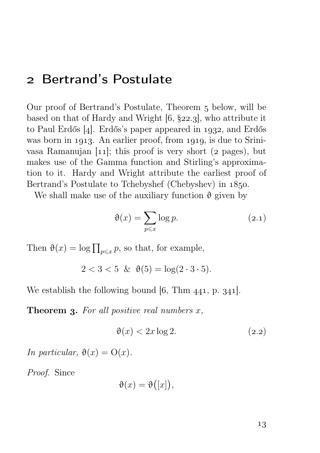## 2 Bertrand's Postulate

Our proof of Bertrand's Postulate, Theorem 5 below, will be based on that of Hardy and Wright  $[6, §22.3]$ , who attribute it to Paul Erdős  $[4]$ . Erdős's paper appeared in 1932, and Erdős was born in 1913. An earlier proof, from 1919, is due to Srinivasa Ramanujan  $[11]$ ; this proof is very short (2 pages), but makes use of the Gamma function and Stirling's approximation to it. Hardy and Wright attribute the earliest proof of Bertrand's Postulate to Tchebyshef (Chebyshev) in  $1850$ .

We shall make use of the auxiliary function  $\vartheta$  given by

$$
\vartheta(x) = \sum_{p \leqslant x} \log p. \tag{2.1}
$$

Then  $\vartheta(x) = \log \prod_{p \leq x} p$ , so that, for example,

$$
2 < 3 < 5 \ \& \ \ \vartheta(5) = \log(2 \cdot 3 \cdot 5).
$$

We establish the following bound  $[6, Thm 441, p. 341].$ 

**Theorem 3.** For all positive real numbers  $x$ ,

$$
\vartheta(x) < 2x \log 2. \tag{2.2}
$$

In particular,  $\vartheta(x) = O(x)$ .

Proof. Since

$$
\vartheta(x) = \vartheta([x]),
$$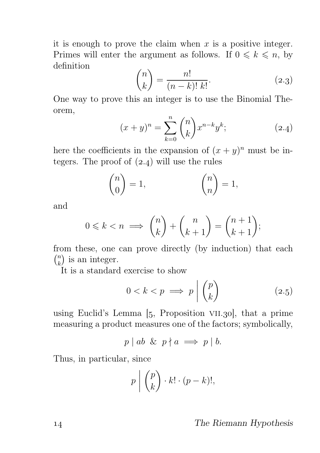it is enough to prove the claim when  $x$  is a positive integer. Primes will enter the argument as follows. If  $0 \leq k \leq n$ , by definition

$$
\binom{n}{k} = \frac{n!}{(n-k)! \ k!}.
$$
\n(2.3)

One way to prove this an integer is to use the Binomial Theorem,

$$
(x+y)^n = \sum_{k=0}^n \binom{n}{k} x^{n-k} y^k; \tag{2.4}
$$

here the coefficients in the expansion of  $(x + y)^n$  must be integers. The proof of  $(2.4)$  will use the rules

$$
\binom{n}{0} = 1, \qquad \binom{n}{n} = 1,
$$

and

$$
0 \leq k < n \implies \binom{n}{k} + \binom{n}{k+1} = \binom{n+1}{k+1};
$$

from these, one can prove directly (by induction) that each  $\binom{n}{k}$  $\binom{n}{k}$  is an integer.

It is a standard exercise to show

$$
0 < k < p \implies p \mid \binom{p}{k} \tag{2.5}
$$

using Euclid's Lemma  $[5,$  Proposition VII.30, that a prime measuring a product measures one of the factors; symbolically,

$$
p \mid ab \And p \nmid a \implies p \mid b.
$$

Thus, in particular, since

$$
p \mid \binom{p}{k} \cdot k! \cdot (p-k)!,
$$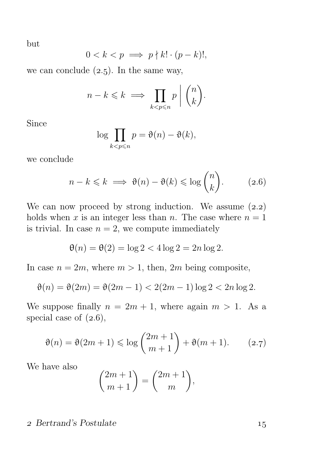but

$$
0 < k < p \implies p \nmid k! \cdot (p - k)!,
$$

we can conclude  $(2.5)$ . In the same way,

$$
n-k \leq k \implies \prod_{k
$$

Since

$$
\log \prod_{k < p \le n} p = \vartheta(n) - \vartheta(k),
$$

we conclude

$$
n - k \leq k \implies \vartheta(n) - \vartheta(k) \leq \log \binom{n}{k}.
$$
 (2.6)

We can now proceed by strong induction. We assume  $(2.2)$ holds when x is an integer less than n. The case where  $n = 1$ is trivial. In case  $n = 2$ , we compute immediately

$$
\theta(n) = \theta(2) = \log 2 < 4\log 2 = 2n\log 2.
$$

In case  $n = 2m$ , where  $m > 1$ , then,  $2m$  being composite,

$$
\vartheta(n) = \vartheta(2m) = \vartheta(2m - 1) < 2(2m - 1)\log 2 < 2n \log 2.
$$

We suppose finally  $n = 2m + 1$ , where again  $m > 1$ . As a special case of  $(2.6)$ ,

$$
\vartheta(n) = \vartheta(2m+1) \le \log\binom{2m+1}{m+1} + \vartheta(m+1). \tag{2.7}
$$

We have also

$$
\binom{2m+1}{m+1} = \binom{2m+1}{m},
$$

## 2 Bertrand's Postulate 15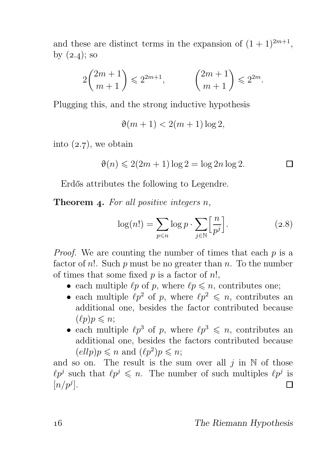and these are distinct terms in the expansion of  $(1 + 1)^{2m+1}$ , by  $(2.4)$ ; so

$$
2\binom{2m+1}{m+1} \leq 2^{2m+1}, \qquad \binom{2m+1}{m+1} \leq 2^{2m}.
$$

Plugging this, and the strong inductive hypothesis

 $\vartheta(m+1) < 2(m+1) \log 2$ .

into  $(2.7)$ , we obtain

$$
\vartheta(n) \leqslant 2(2m+1)\log 2 = \log 2n \log 2.
$$

Erdős attributes the following to Legendre.

Theorem 4. For all positive integers  $n$ ,

$$
\log(n!) = \sum_{p \le n} \log p \cdot \sum_{j \in \mathbb{N}} \left[ \frac{n}{p^j} \right]. \tag{2.8}
$$

Proof. We are counting the number of times that each p is a factor of n!. Such  $p$  must be no greater than  $n$ . To the number of times that some fixed  $p$  is a factor of  $n!$ ,

- each multiple  $\ell p$  of p, where  $\ell p \leq n$ , contributes one;
- each multiple  $\ell p^2$  of p, where  $\ell p^2 \leq n$ , contributes an additional one, besides the factor contributed because  $(\ell p)p \leq n;$
- each multiple  $\ell p^3$  of p, where  $\ell p^3 \leq n$ , contributes an additional one, besides the factors contributed because  $(\ell l l p) p \leqslant n$  and  $(\ell p^2) p \leqslant n;$

and so on. The result is the sum over all  $j$  in  $\mathbb N$  of those  $\ell p^j$  such that  $\ell p^j \leq n$ . The number of such multiples  $\ell p^j$  is  $[n/p^j].$  $\Box$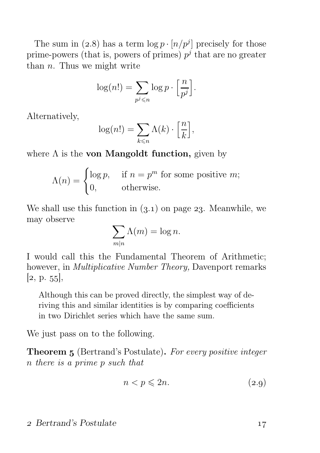The sum in (2.8) has a term  $\log p \cdot [n/p^j]$  precisely for those prime-powers (that is, powers of primes)  $p^j$  that are no greater than  $n$ . Thus we might write

$$
\log(n!) = \sum_{p^j \leq n} \log p \cdot \left[\frac{n}{p^j}\right].
$$

Alternatively,

$$
\log(n!) = \sum_{k \leq n} \Lambda(k) \cdot \left[\frac{n}{k}\right],
$$

where  $\Lambda$  is the **von Mangoldt function**, given by

$$
\Lambda(n) = \begin{cases} \log p, & \text{if } n = p^m \text{ for some positive } m; \\ 0, & \text{otherwise.} \end{cases}
$$

We shall use this function in  $(3.1)$  on page 23. Meanwhile, we may observe

$$
\sum_{m|n} \Lambda(m) = \log n.
$$

I would call this the Fundamental Theorem of Arithmetic; however, in Multiplicative Number Theory, Davenport remarks  $[2, p. 55],$ 

Although this can be proved directly, the simplest way of deriving this and similar identities is by comparing coefficients in two Dirichlet series which have the same sum.

We just pass on to the following.

**Theorem 5** (Bertrand's Postulate). For every positive integer n there is a prime p such that

$$
n < p \leqslant 2n. \tag{2.9}
$$

### 2 Bertrand's Postulate 17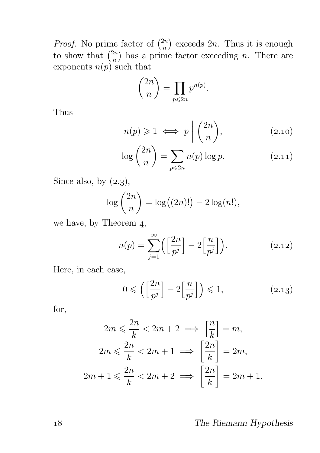*Proof.* No prime factor of  $\binom{2n}{n}$  $\binom{2n}{n}$  exceeds  $2n$ . Thus it is enough to show that  $\binom{2n}{n}$  $\binom{2n}{n}$  has a prime factor exceeding *n*. There are exponents  $n(p)$  such that

$$
\binom{2n}{n} = \prod_{p \le 2n} p^{n(p)}.
$$

Thus

$$
n(p) \geq 1 \iff p \mid \binom{2n}{n},\tag{2.10}
$$

$$
\log\binom{2n}{n} = \sum_{p\leqslant 2n} n(p)\log p. \tag{2.11}
$$

Since also, by  $(2.3)$ ,

$$
\log {2n \choose n} = \log((2n)!) - 2\log(n!),
$$

we have, by Theorem  $4$ ,

$$
n(p) = \sum_{j=1}^{\infty} \left( \left[ \frac{2n}{p^j} \right] - 2 \left[ \frac{n}{p^j} \right] \right).
$$
 (2.12)

Here, in each case,

$$
0 \leqslant \left( \left[ \frac{2n}{p^j} \right] - 2 \left[ \frac{n}{p^j} \right] \right) \leqslant 1,
$$
\n(2.13)

for,

$$
2m \leqslant \frac{2n}{k} < 2m + 2 \implies \left[\frac{n}{k}\right] = m,
$$
\n
$$
2m \leqslant \frac{2n}{k} < 2m + 1 \implies \left[\frac{2n}{k}\right] = 2m,
$$
\n
$$
2m + 1 \leqslant \frac{2n}{k} < 2m + 2 \implies \left[\frac{2n}{k}\right] = 2m + 1.
$$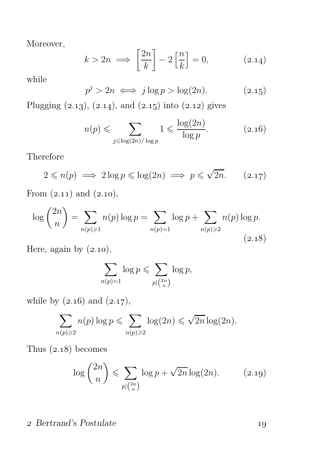Moreover,

$$
k > 2n \implies \left[\frac{2n}{k}\right] - 2\left[\frac{n}{k}\right] = 0,\tag{2.14}
$$

while

$$
p^j > 2n \iff j \log p > \log(2n). \tag{2.15}
$$

Plugging  $(2.13), (2.14),$  and  $(2.15)$  into  $(2.12)$  gives

$$
n(p) \leqslant \sum_{j \leqslant \log(2n)/\log p} 1 \leqslant \frac{\log(2n)}{\log p}.\tag{2.16}
$$

Therefore

$$
2 \leqslant n(p) \implies 2\log p \leqslant \log(2n) \implies p \leqslant \sqrt{2n}.\tag{2.17}
$$

From  $(2.11)$  and  $(2.10)$ ,

$$
\log {2n \choose n} = \sum_{n(p)\geq 1} n(p) \log p = \sum_{n(p)=1} \log p + \sum_{n(p)\geq 2} n(p) \log p.
$$
\n(2.18)

Here, again by  $(2.10)$ ,

$$
\sum_{n(p)=1} \log p \leqslant \sum_{p \mid {2n \choose n}} \log p,
$$

while by  $(2.16)$  and  $(2.17)$ ,

$$
\sum_{n(p)\geqslant 2} n(p) \log p \leqslant \sum_{n(p)\geqslant 2} \log(2n) \leqslant \sqrt{2n} \log(2n).
$$

Thus  $(2.18)$  becomes

$$
\log\binom{2n}{n} \leqslant \sum_{p\mid\binom{2n}{n}} \log p + \sqrt{2n} \log(2n). \tag{2.19}
$$

## 2 Bertrand's Postulate 19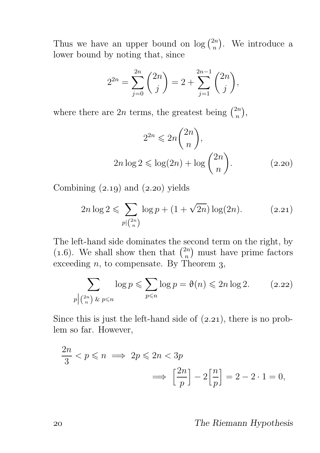Thus we have an upper bound on  $\log {2n \choose n}$  $\binom{2n}{n}$ . We introduce a lower bound by noting that, since

$$
2^{2n} = \sum_{j=0}^{2n} {2n \choose j} = 2 + \sum_{j=1}^{2n-1} {2n \choose j},
$$

where there are 2n terms, the greatest being  $\binom{2n}{n}$  $\binom{2n}{n},$ 

$$
2^{2n} \leq 2n \binom{2n}{n},
$$
  
 
$$
2n \log 2 \leq \log(2n) + \log \binom{2n}{n}.
$$
 (2.20)

Combining  $(2.19)$  and  $(2.20)$  yields

$$
2n \log 2 \leqslant \sum_{p \mid {2n \choose n}} \log p + (1 + \sqrt{2n}) \log(2n). \tag{2.21}
$$

The left-hand side dominates the second term on the right, by (1.6). We shall show then that  $\binom{2n}{n}$  $\binom{2n}{n}$  must have prime factors exceeding  $n$ , to compensate. By Theorem 3,

$$
\sum_{p \mid \binom{2n}{n} \text{ for } p \leqslant n} \log p \leqslant \sum_{p \leqslant n} \log p = \vartheta(n) \leqslant 2n \log 2. \tag{2.22}
$$

Since this is just the left-hand side of  $(2.21)$ , there is no problem so far. However,

$$
\frac{2n}{3} < p \leqslant n \implies 2p \leqslant 2n < 3p
$$
\n
$$
\implies \left[\frac{2n}{p}\right] - 2\left[\frac{n}{p}\right] = 2 - 2 \cdot 1 = 0,
$$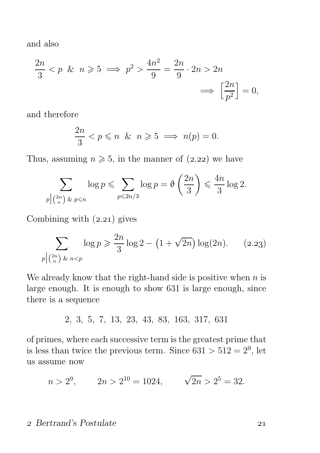and also

$$
\frac{2n}{3} < p \quad \& n \geqslant 5 \implies p^2 > \frac{4n^2}{9} = \frac{2n}{9} \cdot 2n > 2n
$$
\n
$$
\implies \left[\frac{2n}{p^2}\right] = 0,
$$

and therefore

$$
\frac{2n}{3} < p \leqslant n \quad \& n \geqslant 5 \implies n(p) = 0.
$$

Thus, assuming  $n \geq 5$ , in the manner of  $(2.22)$  we have

$$
\sum_{p \mid \binom{2n}{n} \text{ for } p \leqslant n} \log p \leqslant \sum_{p \leqslant 2n/3} \log p = \vartheta \left( \frac{2n}{3} \right) \leqslant \frac{4n}{3} \log 2.
$$

Combining with  $(2.21)$  gives

$$
\sum_{p \mid \binom{2n}{n} \& n < p} \log p \geqslant \frac{2n}{3} \log 2 - \left(1 + \sqrt{2n}\right) \log(2n). \tag{2.23}
$$

We already know that the right-hand side is positive when  $n$  is large enough. It is enough to show 631 is large enough, since there is a sequence

$$
2, 3, 5, 7, 13, 23, 43, 83, 163, 317, 631
$$

of primes, where each successive term is the greatest prime that is less than twice the previous term. Since  $631 > 512 = 2<sup>9</sup>$ , let us assume now

$$
n > 2^9
$$
,  $2n > 2^{10} = 1024$ ,  $\sqrt{2n} > 2^5 = 32$ .

## 2 Bertrand's Postulate 21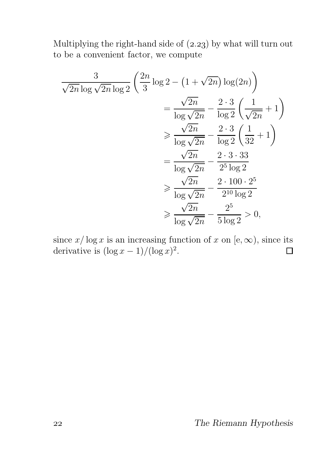Multiplying the right-hand side of  $(2.23)$  by what will turn out to be a convenient factor, we compute

$$
\frac{3}{\sqrt{2n}\log\sqrt{2n}\log 2} \left(\frac{2n}{3}\log 2 - \left(1 + \sqrt{2n}\right)\log(2n)\right)
$$

$$
= \frac{\sqrt{2n}}{\log\sqrt{2n}} - \frac{2\cdot 3}{\log 2} \left(\frac{1}{\sqrt{2n}} + 1\right)
$$

$$
\geq \frac{\sqrt{2n}}{\log\sqrt{2n}} - \frac{2\cdot 3}{\log 2} \left(\frac{1}{32} + 1\right)
$$

$$
= \frac{\sqrt{2n}}{\log\sqrt{2n}} - \frac{2\cdot 3\cdot 33}{2^5 \log 2}
$$

$$
\geq \frac{\sqrt{2n}}{\log\sqrt{2n}} - \frac{2\cdot 100\cdot 2^5}{2^{10}\log 2}
$$

$$
\geq \frac{\sqrt{2n}}{\log\sqrt{2n}} - \frac{2^5}{5\log 2} > 0,
$$

since  $x/\log x$  is an increasing function of x on [e,  $\infty$ ), since its derivative is  $(\log x - 1)/(\log x)^2$ . derivative is  $(\log x - 1)/(\log x)^2$ .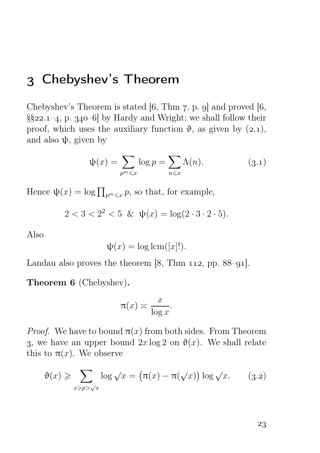## Chebyshev's Theorem

Chebyshev's Theorem is stated [6, Thm  $7$ , p. 9] and proved [6,  $\S$ 22.1-4, p. 340-6 by Hardy and Wright; we shall follow their proof, which uses the auxiliary function  $\vartheta$ , as given by (2.1), and also  $\psi$ , given by

$$
\psi(x) = \sum_{p^m \leqslant x} \log p = \sum_{n \leqslant x} \Lambda(n). \tag{3.1}
$$

Hence  $\psi(x) = \log \prod_{p^m \leq x} p$ , so that, for example,

$$
2 < 3 < 2^2 < 5 \ \& \ \psi(x) = \log(2 \cdot 3 \cdot 2 \cdot 5).
$$

Also

$$
\psi(x) = \log \operatorname{lcm}([x]!).
$$

Landau also proves the theorem  $[8, Thm 112, pp. 88–91].$ 

Theorem 6 (Chebyshev).

$$
\pi(x) \asymp \frac{x}{\log x}.
$$

*Proof.* We have to bound  $\pi(x)$  from both sides. From Theorem 3, we have an upper bound  $2x \log 2$  on  $\vartheta(x)$ . We shall relate this to  $\pi(x)$ . We observe

$$
\vartheta(x) \geqslant \sum_{x \geqslant p > \sqrt{x}} \log \sqrt{x} = \left( \pi(x) - \pi(\sqrt{x}) \right) \log \sqrt{x}. \tag{3.2}
$$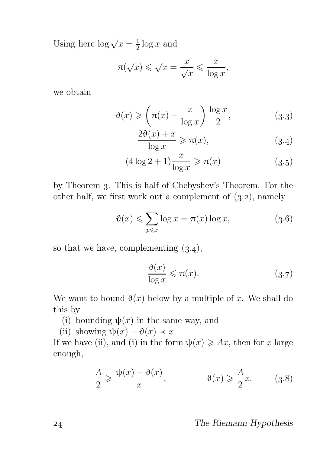Using here  $\log \sqrt{x} = \frac{1}{2}$  $\frac{1}{2} \log x$  and

$$
\pi(\sqrt{x}) \leqslant \sqrt{x} = \frac{x}{\sqrt{x}} \leqslant \frac{x}{\log x},
$$

we obtain

$$
\vartheta(x) \geqslant \left(\pi(x) - \frac{x}{\log x}\right) \frac{\log x}{2},\tag{3.3}
$$

$$
\frac{2\vartheta(x) + x}{\log x} \geqslant \pi(x),\tag{3.4}
$$

$$
(4\log 2 + 1)\frac{x}{\log x} \geqslant \pi(x) \tag{3.5}
$$

by Theorem . This is half of Chebyshev's Theorem. For the other half, we first work out a complement of  $(3.2)$ , namely

$$
\vartheta(x) \leqslant \sum_{p \leqslant x} \log x = \pi(x) \log x,\tag{3.6}
$$

so that we have, complementing  $(3.4)$ ,

$$
\frac{\vartheta(x)}{\log x} \leqslant \pi(x). \tag{3.7}
$$

We want to bound  $\vartheta(x)$  below by a multiple of x. We shall do this by

- (i) bounding  $\psi(x)$  in the same way, and
- (ii) showing  $\psi(x) \vartheta(x) \prec x$ .

If we have (ii), and (i) in the form  $\psi(x) \geqslant Ax$ , then for x large enough,

$$
\frac{A}{2} \geqslant \frac{\psi(x) - \vartheta(x)}{x}, \qquad \qquad \vartheta(x) \geqslant \frac{A}{2}x. \qquad (3.8)
$$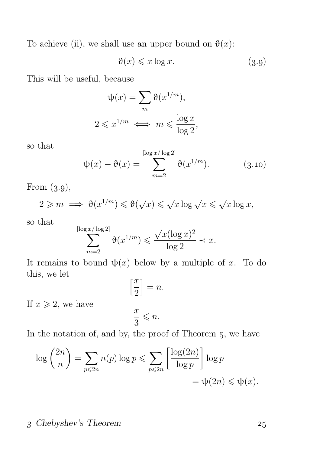To achieve (ii), we shall use an upper bound on  $\vartheta(x)$ :

$$
\vartheta(x) \leqslant x \log x. \tag{3.9}
$$

This will be useful, because

$$
\psi(x) = \sum_{m} \vartheta(x^{1/m}),
$$
  

$$
2 \leq x^{1/m} \iff m \leq \frac{\log x}{\log 2},
$$

so that

$$
\psi(x) - \vartheta(x) = \sum_{m=2}^{\lfloor \log x / \log 2 \rfloor} \vartheta(x^{1/m}).
$$
 (3.10)

From  $(3.9)$ ,

$$
2 \geqslant m \implies \vartheta(x^{1/m}) \leqslant \vartheta(\sqrt{x}) \leqslant \sqrt{x \log \sqrt{x}} \leqslant \sqrt{x \log x},
$$

so that

$$
\sum_{m=2}^{\lceil \log x/\log 2\rceil}\vartheta(x^{1/m})\leqslant \frac{\sqrt{x}(\log x)^2}{\log 2}\prec x.
$$

It remains to bound  $\psi(x)$  below by a multiple of x. To do this, we let

$$
\left[\frac{x}{2}\right] = n.
$$

If  $x \geqslant 2$ , we have

$$
\frac{x}{3} \leqslant n.
$$

In the notation of, and by, the proof of Theorem  $5$ , we have

$$
\log {2n \choose n} = \sum_{p \le 2n} n(p) \log p \le \sum_{p \le 2n} \left[ \frac{\log(2n)}{\log p} \right] \log p
$$
  
=  $\psi(2n) \le \psi(x)$ .

### Chebyshev's Theorem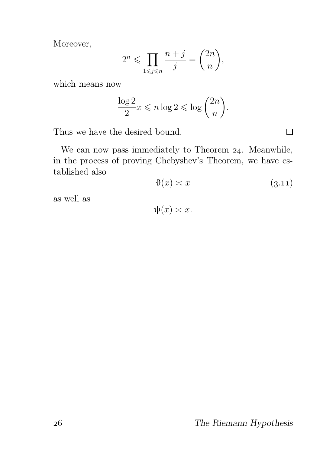Moreover,

$$
2^n \leqslant \prod_{1 \leqslant j \leqslant n} \frac{n+j}{j} = \binom{2n}{n},
$$

which means now

$$
\frac{\log 2}{2}x \leqslant n \log 2 \leqslant \log \binom{2n}{n}.
$$

Thus we have the desired bound.

We can now pass immediately to Theorem  $24$ . Meanwhile, in the process of proving Chebyshev's Theorem, we have established also

$$
\vartheta(x) \asymp x \tag{3.11}
$$

as well as

 $\psi(x) \asymp x$ .

The Riemann Hypothesis

 $\Box$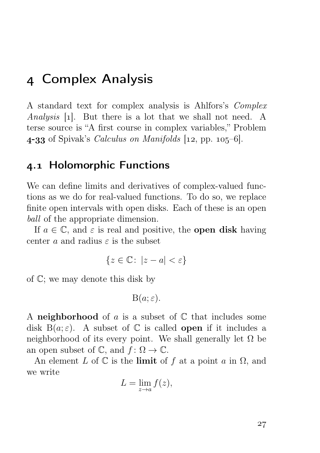## Complex Analysis

A standard text for complex analysis is Ahlfors's Complex Analysis [1]. But there is a lot that we shall not need. A terse source is "A first course in complex variables," Problem 4-33 of Spivak's *Calculus on Manifolds*  $[12, pp. 105-6]$ .

## . Holomorphic Functions

We can define limits and derivatives of complex-valued functions as we do for real-valued functions. To do so, we replace finite open intervals with open disks. Each of these is an open ball of the appropriate dimension.

If  $a \in \mathbb{C}$ , and  $\varepsilon$  is real and positive, the **open disk** having center a and radius  $\varepsilon$  is the subset

$$
\{z \in \mathbb{C} \colon |z - a| < \varepsilon\}
$$

of C; we may denote this disk by

 $B(a; \varepsilon)$ .

A neighborhood of a is a subset of  $\mathbb C$  that includes some disk  $B(a; \varepsilon)$ . A subset of  $\mathbb C$  is called **open** if it includes a neighborhood of its every point. We shall generally let  $\Omega$  be an open subset of  $\mathbb{C}$ , and  $f: \Omega \to \mathbb{C}$ .

An element L of  $\mathbb C$  is the limit of f at a point a in  $\Omega$ , and we write

$$
L = \lim_{z \to a} f(z),
$$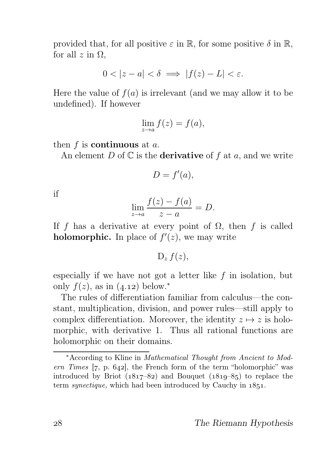provided that, for all positive  $\varepsilon$  in  $\mathbb{R}$ , for some positive  $\delta$  in  $\mathbb{R}$ , for all  $z$  in  $\Omega$ ,

$$
0 < |z - a| < \delta \implies |f(z) - L| < \varepsilon.
$$

Here the value of  $f(a)$  is irrelevant (and we may allow it to be undefined). If however

$$
\lim_{z \to a} f(z) = f(a),
$$

then  $f$  is **continuous** at  $a$ .

An element D of  $\mathbb C$  is the **derivative** of f at a, and we write

$$
D = f'(a),
$$

if

$$
\lim_{z \to a} \frac{f(z) - f(a)}{z - a} = D.
$$

If f has a derivative at every point of  $\Omega$ , then f is called **holomorphic.** In place of  $f'(z)$ , we may write

 $D_z f(z)$ ,

especially if we have not got a letter like  $f$  in isolation, but only  $f(z)$ , as in  $(4.12)$  below.<sup>\*</sup>

The rules of differentiation familiar from calculus—the constant, multiplication, division, and power rules—still apply to complex differentiation. Moreover, the identity  $z \mapsto z$  is holomorphic, with derivative 1. Thus all rational functions are holomorphic on their domains.

<sup>∗</sup>According to Kline in Mathematical Thought from Ancient to Modern Times  $[7, p. 642]$ , the French form of the term "holomorphic" was introduced by Briot  $(1817-82)$  and Bouquet  $(1819-85)$  to replace the term *synectique*, which had been introduced by Cauchy in  $1851$ .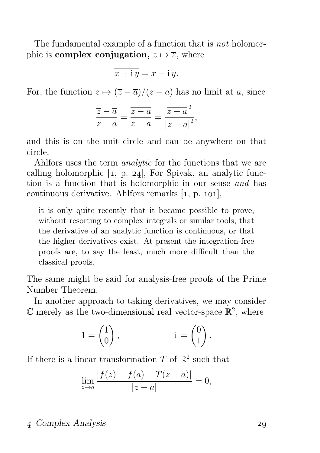The fundamental example of a function that is not holomorphic is **complex conjugation**,  $z \mapsto \overline{z}$ , where

$$
\overline{x + i y} = x - i y.
$$

For, the function  $z \mapsto (\overline{z} - \overline{a})/(z - a)$  has no limit at a, since

$$
\frac{\overline{z} - \overline{a}}{z - a} = \frac{\overline{z - a}}{z - a} = \frac{\overline{z - a}^2}{|z - a|^2},
$$

and this is on the unit circle and can be anywhere on that circle.

Ahlfors uses the term analytic for the functions that we are calling holomorphic  $\lbrack 1, p. 24 \rbrack$ , For Spivak, an analytic function is a function that is holomorphic in our sense and has continuous derivative. Ahlfors remarks  $[1, p. 101]$ ,

it is only quite recently that it became possible to prove, without resorting to complex integrals or similar tools, that the derivative of an analytic function is continuous, or that the higher derivatives exist. At present the integration-free proofs are, to say the least, much more difficult than the classical proofs.

The same might be said for analysis-free proofs of the Prime Number Theorem.

In another approach to taking derivatives, we may consider  $\mathbb C$  merely as the two-dimensional real vector-space  $\mathbb R^2$ , where

$$
1 = \begin{pmatrix} 1 \\ 0 \end{pmatrix}, \qquad i = \begin{pmatrix} 0 \\ 1 \end{pmatrix}.
$$

If there is a linear transformation  $T$  of  $\mathbb{R}^2$  such that

$$
\lim_{z \to a} \frac{|f(z) - f(a) - T(z - a)|}{|z - a|} = 0,
$$

## Complex Analysis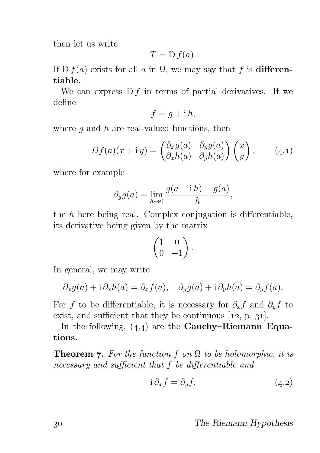then let us write

$$
T = D f(a).
$$

If D  $f(a)$  exists for all a in  $\Omega$ , we may say that f is **differen**tiable.

We can express  $D f$  in terms of partial derivatives. If we define

$$
f = g + i h,
$$

where  $q$  and  $h$  are real-valued functions, then

$$
Df(a)(x + iy) = \begin{pmatrix} \partial_x g(a) & \partial_y g(a) \\ \partial_x h(a) & \partial_y h(a) \end{pmatrix} \begin{pmatrix} x \\ y \end{pmatrix}, \qquad (4.1)
$$

where for example

$$
\partial_y g(a) = \lim_{h \to 0} \frac{g(a + ih) - g(a)}{h},
$$

the  $h$  here being real. Complex conjugation is differentiable, its derivative being given by the matrix

$$
\begin{pmatrix} 1 & 0 \\ 0 & -1 \end{pmatrix}.
$$

In general, we may write

$$
\partial_x g(a) + i \partial_x h(a) = \partial_x f(a), \quad \partial_y g(a) + i \partial_y h(a) = \partial_y f(a).
$$

For f to be differentiable, it is necessary for  $\partial_x f$  and  $\partial_y f$  to exist, and sufficient that they be continuous  $[12, p. 31]$ .

In the following,  $(4.4)$  are the Cauchy–Riemann Equations.

**Theorem 7.** For the function f on  $\Omega$  to be holomorphic, it is necessary and sufficient that f be differentiable and

$$
i \partial_x f = \partial_y f. \tag{4.2}
$$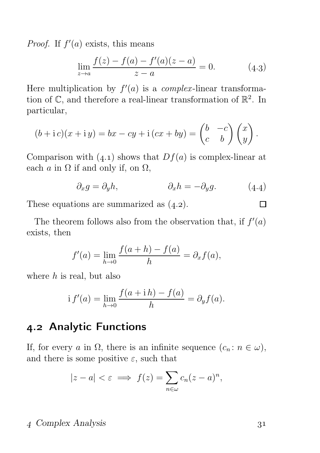*Proof.* If  $f'(a)$  exists, this means

$$
\lim_{z \to a} \frac{f(z) - f(a) - f'(a)(z - a)}{z - a} = 0.
$$
 (4.3)

Here multiplication by  $f'(a)$  is a *complex*-linear transformation of  $\mathbb{C}$ , and therefore a real-linear transformation of  $\mathbb{R}^2$ . In particular,

$$
(b + i c)(x + iy) = bx - cy + i (cx + by) = \begin{pmatrix} b & -c \\ c & b \end{pmatrix} \begin{pmatrix} x \\ y \end{pmatrix}.
$$

Comparison with  $(4.1)$  shows that  $Df(a)$  is complex-linear at each  $\alpha$  in  $\Omega$  if and only if, on  $\Omega$ ,

$$
\partial_x g = \partial_y h, \qquad \qquad \partial_x h = -\partial_y g. \qquad (4.4)
$$

These equations are summarized as  $(4.2)$ .

The theorem follows also from the observation that, if  $f'(a)$ exists, then

$$
f'(a) = \lim_{h \to 0} \frac{f(a+h) - f(a)}{h} = \partial_x f(a),
$$

where  $h$  is real, but also

$$
if'(a) = \lim_{h \to 0} \frac{f(a + ih) - f(a)}{h} = \partial_y f(a).
$$

## 4.2 Analytic Functions

If, for every a in  $\Omega$ , there is an infinite sequence  $(c_n : n \in \omega)$ , and there is some positive  $\varepsilon$ , such that

$$
|z - a| < \varepsilon \implies f(z) = \sum_{n \in \omega} c_n (z - a)^n,
$$

### Complex Analysis

 $\Box$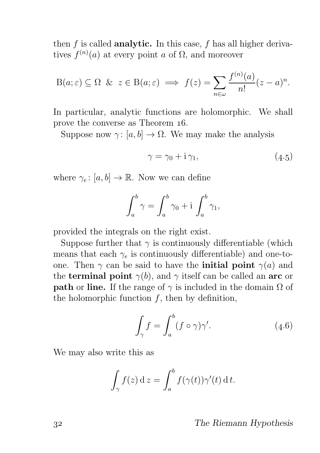then  $f$  is called **analytic.** In this case,  $f$  has all higher derivatives  $f^{(n)}(a)$  at every point a of  $\Omega$ , and moreover

$$
B(a; \varepsilon) \subseteq \Omega \quad \& \quad z \in B(a; \varepsilon) \implies f(z) = \sum_{n \in \omega} \frac{f^{(n)}(a)}{n!} (z - a)^n.
$$

In particular, analytic functions are holomorphic. We shall prove the converse as Theorem  $16$ .

Suppose now  $\gamma: [a, b] \to \Omega$ . We may make the analysis

$$
\gamma = \gamma_0 + i\,\gamma_1,\tag{4.5}
$$

where  $\gamma_e: [a, b] \to \mathbb{R}$ . Now we can define

$$
\int_a^b \gamma = \int_a^b \gamma_0 + i \int_a^b \gamma_1,
$$

provided the integrals on the right exist.

Suppose further that  $\gamma$  is continuously differentiable (which means that each  $\gamma_e$  is continuously differentiable) and one-toone. Then  $\gamma$  can be said to have the **initial point**  $\gamma(a)$  and the **terminal point**  $\gamma(b)$ , and  $\gamma$  itself can be called an **arc** or **path** or line. If the range of  $\gamma$  is included in the domain  $\Omega$  of the holomorphic function  $f$ , then by definition,

$$
\int_{\gamma} f = \int_{a}^{b} (f \circ \gamma) \gamma'. \tag{4.6}
$$

We may also write this as

$$
\int_{\gamma} f(z) dz = \int_{a}^{b} f(\gamma(t)) \gamma'(t) dt.
$$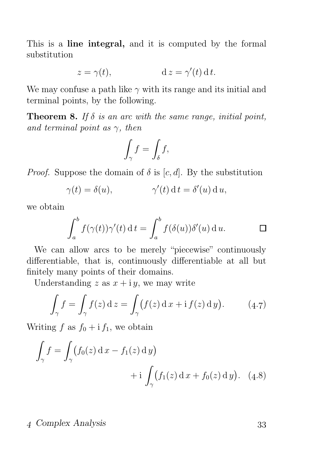This is a line integral, and it is computed by the formal substitution

$$
z = \gamma(t), \qquad \qquad d \, z = \gamma'(t) \, dt.
$$

We may confuse a path like  $\gamma$  with its range and its initial and terminal points, by the following.

**Theorem 8.** If  $\delta$  is an arc with the same range, initial point, and terminal point as  $\gamma$ , then

$$
\int_{\gamma} f = \int_{\delta} f,
$$

*Proof.* Suppose the domain of  $\delta$  is [c, d]. By the substitution

$$
\gamma(t) = \delta(u), \qquad \gamma'(t) \, \mathrm{d} \, t = \delta'(u) \, \mathrm{d} \, u,
$$

we obtain

$$
\int_a^b f(\gamma(t))\gamma'(t) dt = \int_a^b f(\delta(u))\delta'(u) du.
$$

We can allow arcs to be merely "piecewise" continuously differentiable, that is, continuously differentiable at all but finitely many points of their domains.

Understanding z as  $x + iy$ , we may write

$$
\int_{\gamma} f = \int_{\gamma} f(z) dz = \int_{\gamma} (f(z) dx + i f(z) dy). \tag{4.7}
$$

Writing f as  $f_0 + i f_1$ , we obtain

$$
\int_{\gamma} f = \int_{\gamma} (f_0(z) \, \mathrm{d} x - f_1(z) \, \mathrm{d} y) + \mathrm{i} \int_{\gamma} (f_1(z) \, \mathrm{d} x + f_0(z) \, \mathrm{d} y). \tag{4.8}
$$

### Complex Analysis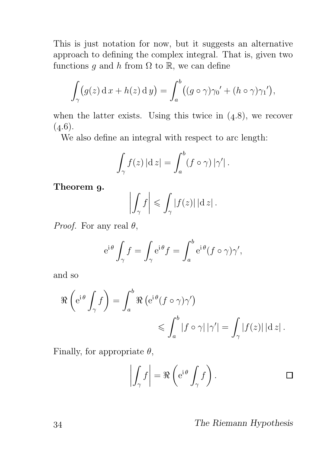This is just notation for now, but it suggests an alternative approach to defining the complex integral. That is, given two functions q and h from  $\Omega$  to  $\mathbb{R}$ , we can define

$$
\int_{\gamma} (g(z) \, \mathrm{d} x + h(z) \, \mathrm{d} y) = \int_{a}^{b} ((g \circ \gamma) \gamma_0' + (h \circ \gamma) \gamma_1'),
$$

when the latter exists. Using this twice in  $(4.8)$ , we recover  $(4.6).$ 

We also define an integral with respect to arc length:

$$
\int_{\gamma} f(z) |dz| = \int_{a}^{b} (f \circ \gamma) |\gamma'|.
$$

Theorem 9.

$$
\left| \int_{\gamma} f \right| \leqslant \int_{\gamma} |f(z)| \, | \mathrm{d} z | \, .
$$

*Proof.* For any real  $\theta$ ,

$$
e^{i\theta} \int_{\gamma} f = \int_{\gamma} e^{i\theta} f = \int_{a}^{b} e^{i\theta} (f \circ \gamma) \gamma',
$$

and so

$$
\Re\left(e^{i\theta}\int_{\gamma}f\right) = \int_{a}^{b}\Re\left(e^{i\theta}(f\circ\gamma)\gamma'\right) \leq \int_{a}^{b}|f\circ\gamma|\,|\gamma'| = \int_{\gamma}|f(z)|\,|\mathrm{d}z|.
$$

Finally, for appropriate  $\theta$ ,

$$
\left| \int_{\gamma} f \right| = \Re \left( e^{i \theta} \int_{\gamma} f \right).
$$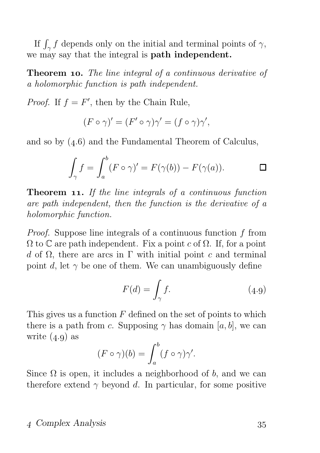If  $\int_{\gamma} f$  depends only on the initial and terminal points of  $\gamma$ , we may say that the integral is path independent.

**Theorem 10.** The line integral of a continuous derivative of a holomorphic function is path independent.

*Proof.* If  $f = F'$ , then by the Chain Rule,

$$
(F \circ \gamma)' = (F' \circ \gamma)\gamma' = (f \circ \gamma)\gamma',
$$

and so by  $(4.6)$  and the Fundamental Theorem of Calculus,

$$
\int_{\gamma} f = \int_{a}^{b} (F \circ \gamma)' = F(\gamma(b)) - F(\gamma(a)). \qquad \Box
$$

**Theorem 11.** If the line integrals of a continuous function are path independent, then the function is the derivative of a holomorphic function.

Proof. Suppose line integrals of a continuous function f from  $\Omega$  to  $\mathbb C$  are path independent. Fix a point c of  $\Omega$ . If, for a point d of  $\Omega$ , there are arcs in Γ with initial point c and terminal point d, let  $\gamma$  be one of them. We can unambiguously define

$$
F(d) = \int_{\gamma} f. \tag{4.9}
$$

This gives us a function  $F$  defined on the set of points to which there is a path from c. Supposing  $\gamma$  has domain [a, b], we can write  $(4.9)$  as

$$
(F \circ \gamma)(b) = \int_a^b (f \circ \gamma)\gamma'.
$$

Since  $\Omega$  is open, it includes a neighborhood of b, and we can therefore extend  $\gamma$  beyond d. In particular, for some positive

### Complex Analysis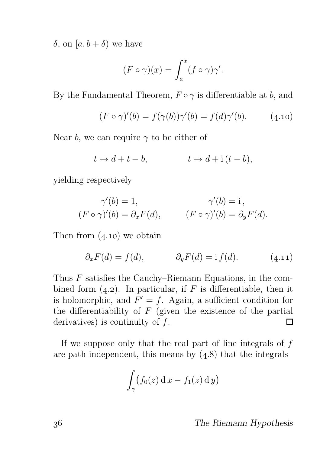δ, on [a, b + δ) we have

$$
(F \circ \gamma)(x) = \int_a^x (f \circ \gamma)\gamma'.
$$

By the Fundamental Theorem,  $F \circ \gamma$  is differentiable at b, and

$$
(F \circ \gamma)'(b) = f(\gamma(b))\gamma'(b) = f(d)\gamma'(b). \tag{4.10}
$$

Near b, we can require  $\gamma$  to be either of

$$
t \mapsto d + t - b, \qquad t \mapsto d + i(t - b),
$$

yielding respectively

$$
\gamma'(b) = 1, \qquad \gamma'(b) = i,
$$
  
( $F \circ \gamma)'(b) = \partial_x F(d), \qquad (F \circ \gamma)'(b) = \partial_y F(d).$ 

Then from  $(4.10)$  we obtain

$$
\partial_x F(d) = f(d), \qquad \partial_y F(d) = \mathrm{i} f(d). \tag{4.11}
$$

Thus F satisfies the Cauchy–Riemann Equations, in the combined form  $(4.2)$ . In particular, if F is differentiable, then it is holomorphic, and  $F' = f$ . Again, a sufficient condition for the differentiability of  $F$  (given the existence of the partial derivatives) is continuity of f. П

If we suppose only that the real part of line integrals of  $f$ are path independent, this means by  $(4.8)$  that the integrals

$$
\int_{\gamma} \bigl(f_0(z) \, \mathrm{d} x - f_1(z) \, \mathrm{d} y\bigr)
$$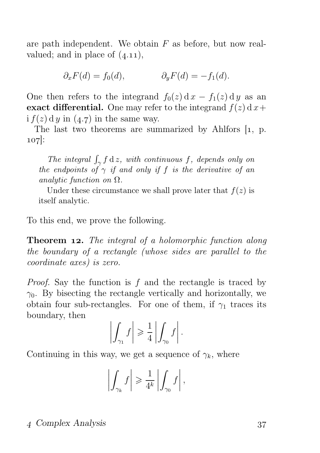are path independent. We obtain  $F$  as before, but now realvalued; and in place of  $(4.11)$ ,

$$
\partial_x F(d) = f_0(d), \qquad \qquad \partial_y F(d) = -f_1(d).
$$

One then refers to the integrand  $f_0(z) dx - f_1(z) dy$  as an exact differential. One may refer to the integrand  $f(z)$  d  $x+$ i  $f(z)$  d y in  $(4.7)$  in the same way.

The last two theorems are summarized by Ahlfors  $[1, p$ . 107:

The integral  $\int_{\gamma} f \, \mathrm{d}z$ , with continuous f, depends only on the endpoints of  $\gamma$  if and only if f is the derivative of an analytic function on  $\Omega$ .

Under these circumstance we shall prove later that  $f(z)$  is itself analytic.

To this end, we prove the following.

**Theorem 12.** The integral of a holomorphic function along the boundary of a rectangle (whose sides are parallel to the coordinate axes) is zero.

*Proof.* Say the function is  $f$  and the rectangle is traced by  $\gamma_0$ . By bisecting the rectangle vertically and horizontally, we obtain four sub-rectangles. For one of them, if  $\gamma_1$  traces its boundary, then

$$
\left| \int_{\gamma_1} f \right| \geqslant \frac{1}{4} \left| \int_{\gamma_0} f \right|.
$$

Continuing in this way, we get a sequence of  $\gamma_k$ , where

$$
\left| \int_{\gamma_k} f \right| \geqslant \frac{1}{4^k} \left| \int_{\gamma_0} f \right|,
$$

### Complex Analysis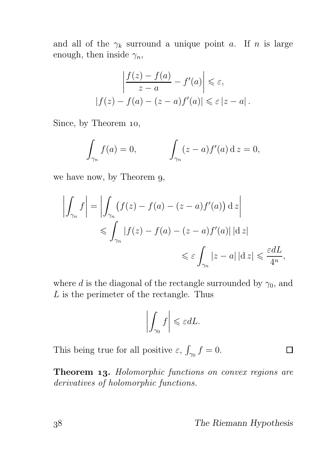and all of the  $\gamma_k$  surround a unique point a. If n is large enough, then inside  $\gamma_n$ ,

$$
\left| \frac{f(z) - f(a)}{z - a} - f'(a) \right| \leq \varepsilon,
$$
  

$$
|f(z) - f(a) - (z - a)f'(a)| \leq \varepsilon |z - a|.
$$

Since, by Theorem 10,

$$
\int_{\gamma_n} f(a) = 0, \qquad \qquad \int_{\gamma_n} (z - a) f'(a) \, \mathrm{d} \, z = 0,
$$

we have now, by Theorem 9,

$$
\left| \int_{\gamma_n} f \right| = \left| \int_{\gamma_n} (f(z) - f(a) - (z - a) f'(a)) \, \mathrm{d} \, z \right|
$$
  

$$
\leqslant \int_{\gamma_n} |f(z) - f(a) - (z - a) f'(a)| \, \mathrm{d} \, z|
$$
  

$$
\leqslant \varepsilon \int_{\gamma_n} |z - a| \, \mathrm{d} \, z| \leqslant \frac{\varepsilon dL}{4^n},
$$

where d is the diagonal of the rectangle surrounded by  $\gamma_0$ , and L is the perimeter of the rectangle. Thus

$$
\left| \int_{\gamma_0} f \right| \leqslant \varepsilon dL.
$$

This being true for all positive  $\varepsilon$ ,  $\int_{\gamma_0} f = 0$ .

Theorem 13. Holomorphic functions on convex regions are derivatives of holomorphic functions.

П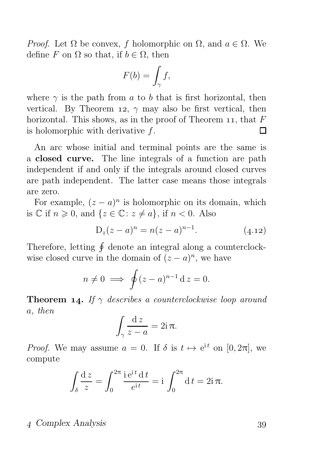*Proof.* Let  $\Omega$  be convex, f holomorphic on  $\Omega$ , and  $a \in \Omega$ . We define F on  $\Omega$  so that, if  $b \in \Omega$ , then

$$
F(b) = \int_{\gamma} f,
$$

where  $\gamma$  is the path from a to b that is first horizontal, then vertical. By Theorem 12,  $\gamma$  may also be first vertical, then horizontal. This shows, as in the proof of Theorem 11, that  $F$ is holomorphic with derivative f. П

An arc whose initial and terminal points are the same is a closed curve. The line integrals of a function are path independent if and only if the integrals around closed curves are path independent. The latter case means those integrals are zero.

For example,  $(z - a)^n$  is holomorphic on its domain, which is  $\mathbb C$  if  $n \geq 0$ , and  $\{z \in \mathbb C \colon z \neq a\}$ , if  $n < 0$ . Also

$$
D_z(z-a)^n = n(z-a)^{n-1}.
$$
 (4.12)

Therefore, letting  $\oint$  denote an integral along a counterclockwise closed curve in the domain of  $(z - a)^n$ , we have

$$
n \neq 0 \implies \oint (z-a)^{n-1} \,\mathrm{d}z = 0.
$$

**Theorem 14.** If  $\gamma$  describes a counterclockwise loop around a, then

$$
\int_{\gamma} \frac{\mathrm{d}z}{z-a} = 2\mathrm{i}\,\pi.
$$

*Proof.* We may assume  $a = 0$ . If  $\delta$  is  $t \mapsto e^{it}$  on  $[0, 2\pi]$ , we compute

$$
\int_{\delta} \frac{\mathrm{d}z}{z} = \int_0^{2\pi} \frac{i e^{it} \, \mathrm{d}t}{e^{it}} = i \int_0^{2\pi} \mathrm{d}t = 2i \pi.
$$

#### Complex Analysis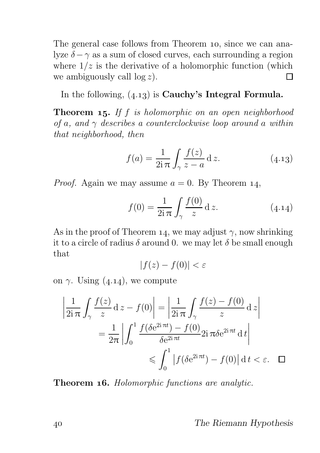The general case follows from Theorem 10, since we can analyze  $\delta - \gamma$  as a sum of closed curves, each surrounding a region where  $1/z$  is the derivative of a holomorphic function (which we ambiguously call  $\log z$ ). П

In the following,  $(4.13)$  is **Cauchy's Integral Formula.** 

**Theorem 15.** If f is holomorphic on an open neighborhood of a, and  $\gamma$  describes a counterclockwise loop around a within that neighborhood, then

$$
f(a) = \frac{1}{2i\pi} \int_{\gamma} \frac{f(z)}{z - a} dz.
$$
 (4.13)

*Proof.* Again we may assume  $a = 0$ . By Theorem 14,

$$
f(0) = \frac{1}{2i\pi} \int_{\gamma} \frac{f(0)}{z} dz.
$$
 (4.14)

As in the proof of Theorem 14, we may adjust  $\gamma$ , now shrinking it to a circle of radius  $\delta$  around 0. we may let  $\delta$  be small enough that

$$
|f(z) - f(0)| < \varepsilon
$$

on  $\gamma$ . Using (4.14), we compute

$$
\left| \frac{1}{2i\pi} \int_{\gamma} \frac{f(z)}{z} dz - f(0) \right| = \left| \frac{1}{2i\pi} \int_{\gamma} \frac{f(z) - f(0)}{z} dz \right|
$$
  
= 
$$
\frac{1}{2\pi} \left| \int_{0}^{1} \frac{f(\delta e^{2i\pi t}) - f(0)}{\delta e^{2i\pi t}} 2i \pi \delta e^{2i\pi t} dt \right|
$$
  

$$
\leq \int_{0}^{1} \left| f(\delta e^{2i\pi t}) - f(0) \right| dt < \varepsilon. \quad \Box
$$

Theorem 16. Holomorphic functions are analytic.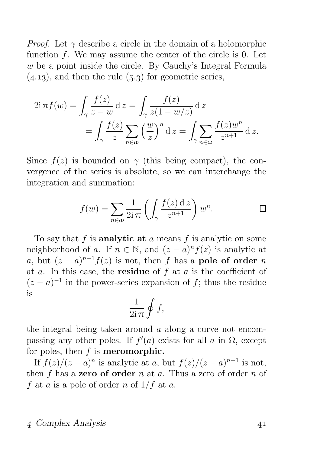*Proof.* Let  $\gamma$  describe a circle in the domain of a holomorphic function  $f$ . We may assume the center of the circle is 0. Let w be a point inside the circle. By Cauchy's Integral Formula  $(4.13)$ , and then the rule  $(5.3)$  for geometric series,

$$
2i\pi f(w) = \int_{\gamma} \frac{f(z)}{z - w} dz = \int_{\gamma} \frac{f(z)}{z(1 - w/z)} dz
$$
  
= 
$$
\int_{\gamma} \frac{f(z)}{z} \sum_{n \in \omega} \left(\frac{w}{z}\right)^n dz = \int_{\gamma} \sum_{n \in \omega} \frac{f(z)w^n}{z^{n+1}} dz.
$$

Since  $f(z)$  is bounded on  $\gamma$  (this being compact), the convergence of the series is absolute, so we can interchange the integration and summation:

$$
f(w) = \sum_{n \in \omega} \frac{1}{2i\pi} \left( \int_{\gamma} \frac{f(z) \,dz}{z^{n+1}} \right) w^n.
$$

To say that f is **analytic at** a means f is analytic on some neighborhood of a. If  $n \in \mathbb{N}$ , and  $(z-a)^n f(z)$  is analytic at a, but  $(z-a)^{n-1}f(z)$  is not, then f has a **pole of order** n at a. In this case, the **residue** of  $f$  at  $a$  is the coefficient of  $(z-a)^{-1}$  in the power-series expansion of f; thus the residue is

$$
\frac{1}{2i\,\pi}\oint f,
$$

the integral being taken around a along a curve not encompassing any other poles. If  $f'(a)$  exists for all a in  $\Omega$ , except for poles, then  $f$  is **meromorphic.** 

If  $f(z)/(z-a)^n$  is analytic at a, but  $f(z)/(z-a)^{n-1}$  is not, then f has a **zero of order** n at a. Thus a zero of order n of f at a is a pole of order n of  $1/f$  at a.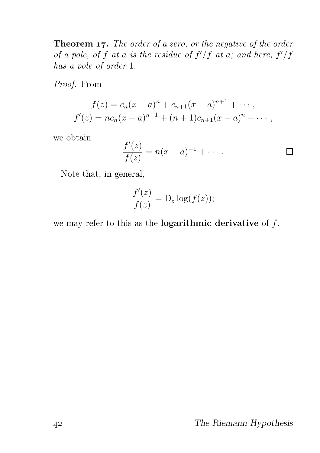**Theorem 17.** The order of a zero, or the negative of the order of a pole, of f at a is the residue of  $f'/f$  at a; and here,  $f'/f$ has a pole of order 1.

Proof. From

$$
f(z) = c_n(x-a)^n + c_{n+1}(x-a)^{n+1} + \cdots,
$$
  
\n
$$
f'(z) = nc_n(x-a)^{n-1} + (n+1)c_{n+1}(x-a)^n + \cdots,
$$

we obtain

$$
\frac{f'(z)}{f(z)} = n(x-a)^{-1} + \cdots
$$

Note that, in general,

$$
\frac{f'(z)}{f(z)} = D_z \log(f(z));
$$

we may refer to this as the **logarithmic derivative** of  $f$ .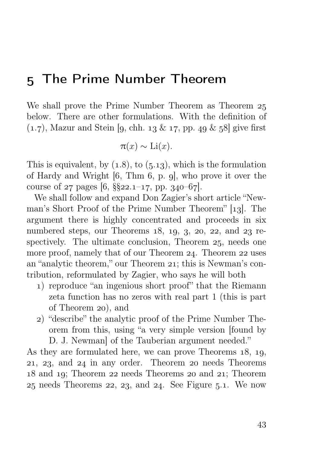## The Prime Number Theorem

We shall prove the Prime Number Theorem as Theorem below. There are other formulations. With the definition of  $(1.7)$ , Mazur and Stein [9, chh.  $13 \& 17$ , pp. 49  $\& 58$ ] give first

$$
\pi(x) \sim \mathrm{Li}(x).
$$

This is equivalent, by  $(1.8)$ , to  $(5.13)$ , which is the formulation of Hardy and Wright  $[6, Thm 6, p. g]$ , who prove it over the course of  $27$  pages [6, §§ $22.1-17$ , pp. 340-67].

We shall follow and expand Don Zagier's short article "Newman's Short Proof of the Prime Number Theorem" [13]. The argument there is highly concentrated and proceeds in six numbered steps, our Theorems  $18, 19, 3, 20, 22,$  and  $23$  respectively. The ultimate conclusion, Theorem  $25$ , needs one more proof, namely that of our Theorem  $24$ . Theorem  $22$  uses an "analytic theorem," our Theorem 21; this is Newman's contribution, reformulated by Zagier, who says he will both

- ) reproduce "an ingenious short proof" that the Riemann zeta function has no zeros with real part 1 (this is part of Theorem 20), and
- ) "describe" the analytic proof of the Prime Number Theorem from this, using "a very simple version [found by D. J. Newman] of the Tauberian argument needed."

As they are formulated here, we can prove Theorems  $18, 19$ ,  $21, 23,$  and  $24$  in any order. Theorem  $20$  needs Theorems 18 and 19; Theorem 22 needs Theorems 20 and 21; Theorem  $25$  needs Theorems  $22$ ,  $23$ , and  $24$ . See Figure  $5.1$ . We now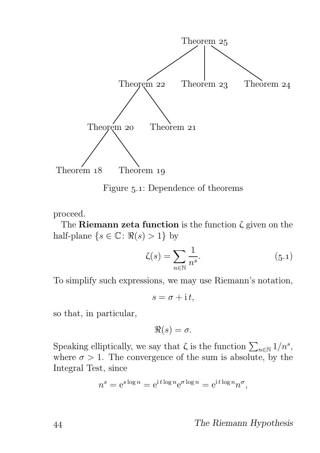

Figure 5.1: Dependence of theorems

proceed.

The Riemann zeta function is the function  $\zeta$  given on the half-plane  $\{s \in \mathbb{C} : \Re(s) > 1\}$  by

$$
\zeta(s) = \sum_{n \in \mathbb{N}} \frac{1}{n^s}.\tag{5.1}
$$

To simplify such expressions, we may use Riemann's notation,

$$
s = \sigma + \mathrm{i} t,
$$

so that, in particular,

 $\Re(s) = \sigma.$ 

Speaking elliptically, we say that  $\zeta$  is the function  $\sum_{n\in\mathbb{N}}1/n^s$ , where  $\sigma > 1$ . The convergence of the sum is absolute, by the Integral Test, since

$$
n^{s} = e^{s \log n} = e^{i t \log n} e^{\sigma \log n} = e^{i t \log n} n^{\sigma},
$$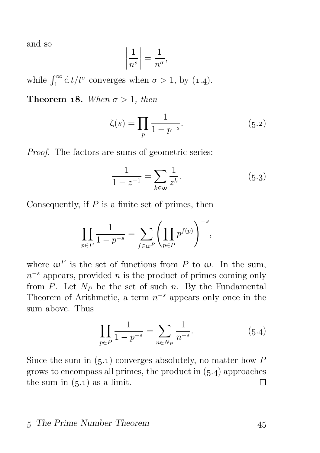and so

$$
\left|\frac{1}{n^s}\right| = \frac{1}{n^{\sigma}},
$$

while  $\int_1^{\infty} dt/t^{\sigma}$  converges when  $\sigma > 1$ , by (1.4).

**Theorem 18.** When  $\sigma > 1$ , then

$$
\zeta(s) = \prod_{p} \frac{1}{1 - p^{-s}}.\tag{5.2}
$$

Proof. The factors are sums of geometric series:

$$
\frac{1}{1-z^{-1}} = \sum_{k \in \omega} \frac{1}{z^k}.
$$
 (5.3)

Consequently, if  $P$  is a finite set of primes, then

$$
\prod_{p \in P} \frac{1}{1 - p^{-s}} = \sum_{f \in \omega^P} \left( \prod_{p \in P} p^{f(p)} \right)^{-s},
$$

where  $\omega^P$  is the set of functions from P to  $\omega$ . In the sum,  $n^{-s}$  appears, provided n is the product of primes coming only from P. Let  $N_P$  be the set of such n. By the Fundamental Theorem of Arithmetic, a term  $n^{-s}$  appears only once in the sum above. Thus

$$
\prod_{p \in P} \frac{1}{1 - p^{-s}} = \sum_{n \in N_P} \frac{1}{n^{-s}}.
$$
\n(5.4)

Since the sum in  $(5.1)$  converges absolutely, no matter how P grows to encompass all primes, the product in  $(5.4)$  approaches the sum in  $(5.1)$  as a limit. П

### 5 The Prime Number Theorem 45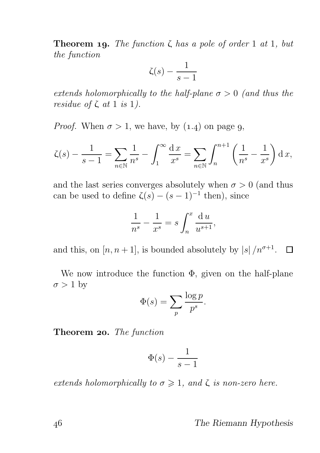**Theorem 19.** The function  $\zeta$  has a pole of order 1 at 1, but the function

$$
\zeta(s) - \frac{1}{s-1}
$$

extends holomorphically to the half-plane  $\sigma > 0$  (and thus the residue of  $\zeta$  at 1 is 1).

*Proof.* When  $\sigma > 1$ , we have, by  $(1.4)$  on page 9,

$$
\zeta(s) - \frac{1}{s-1} = \sum_{n \in \mathbb{N}} \frac{1}{n^s} - \int_1^\infty \frac{dx}{x^s} = \sum_{n \in \mathbb{N}} \int_n^{n+1} \left( \frac{1}{n^s} - \frac{1}{x^s} \right) dx,
$$

and the last series converges absolutely when  $\sigma > 0$  (and thus can be used to define  $\zeta(s) - (s-1)^{-1}$  then), since

$$
\frac{1}{n^s} - \frac{1}{x^s} = s \int_n^x \frac{\mathrm{d}u}{u^{s+1}},
$$

and this, on  $[n, n+1]$ , is bounded absolutely by  $|s|/n^{\sigma+1}$ .  $\Box$ 

We now introduce the function  $\Phi$ , given on the half-plane  $\sigma > 1$  by

$$
\Phi(s) = \sum_{p} \frac{\log p}{p^s}.
$$

Theorem 20. The function

$$
\Phi(s) - \frac{1}{s-1}
$$

extends holomorphically to  $\sigma \geq 1$ , and  $\zeta$  is non-zero here.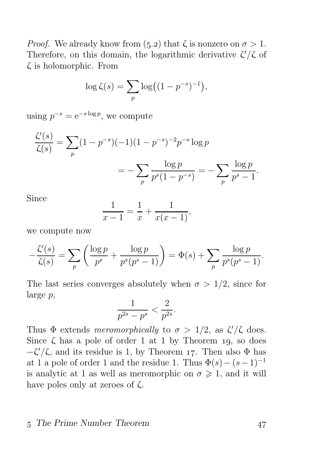*Proof.* We already know from  $(5.2)$  that  $\zeta$  is nonzero on  $\sigma > 1$ . Therefore, on this domain, the logarithmic derivative  $\zeta'/\zeta$  of ζ is holomorphic. From

$$
\log \zeta(s) = \sum_{p} \log \left( (1 - p^{-s})^{-1} \right),\,
$$

using  $p^{-s} = e^{-s \log p}$ , we compute

$$
\frac{\zeta'(s)}{\zeta(s)} = \sum_{p} (1 - p^{-s})(-1)(1 - p^{-s})^{-2}p^{-s}\log p
$$
  
= 
$$
-\sum_{p} \frac{\log p}{p^s(1 - p^{-s})} = -\sum_{p} \frac{\log p}{p^s - 1}.
$$

Since

$$
\frac{1}{x-1} = \frac{1}{x} + \frac{1}{x(x-1)},
$$

we compute now

$$
-\frac{\zeta'(s)}{\zeta(s)} = \sum_{p} \left( \frac{\log p}{p^s} + \frac{\log p}{p^s(p^s - 1)} \right) = \Phi(s) + \sum_{p} \frac{\log p}{p^s(p^s - 1)}.
$$

The last series converges absolutely when  $\sigma > 1/2$ , since for large p,

$$
\frac{1}{p^{2s}-p^s} < \frac{2}{p^{2s}}.
$$

Thus  $\Phi$  extends meromorphically to  $\sigma > 1/2$ , as  $\zeta'/\zeta$  does. Since  $\zeta$  has a pole of order 1 at 1 by Theorem 19, so does  $-\zeta'/\zeta$ , and its residue is 1, by Theorem 17. Then also Φ has at 1 a pole of order 1 and the residue 1. Thus  $\Phi(s)-(s-1)^{-1}$ is analytic at 1 as well as meromorphic on  $\sigma \geq 1$ , and it will have poles only at zeroes of ζ.

#### 5 The Prime Number Theorem 47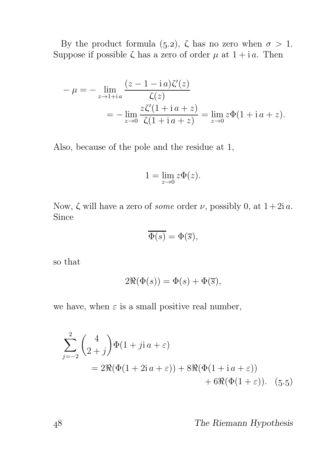By the product formula (5.2),  $\zeta$  has no zero when  $\sigma > 1$ . Suppose if possible  $\zeta$  has a zero of order  $\mu$  at  $1 + i a$ . Then

$$
-\mu = -\lim_{z \to 1 + ia} \frac{(z - 1 - ia)\zeta'(z)}{\zeta(z)}
$$
  
= 
$$
-\lim_{z \to 0} \frac{z\zeta'(1 + ia + z)}{\zeta(1 + ia + z)} = \lim_{z \to 0} z\Phi(1 + ia + z).
$$

Also, because of the pole and the residue at 1,

$$
1 = \lim_{z \to 0} z\Phi(z).
$$

Now, ζ will have a zero of *some* order  $\nu$ , possibly 0, at  $1+2i a$ . Since

$$
\overline{\Phi(s)} = \Phi(\overline{s}),
$$

so that

$$
2\Re(\Phi(s)) = \Phi(s) + \Phi(\overline{s}),
$$

we have, when  $\varepsilon$  is a small positive real number,

$$
\sum_{j=-2}^{2} {4 \choose 2+j} \Phi(1+jia+\varepsilon)
$$
  
= 2\Re(\Phi(1+2ia+\varepsilon)) + 8\Re(\Phi(1+ia+\varepsilon))  
+ 6\Re(\Phi(1+\varepsilon)). (5.5)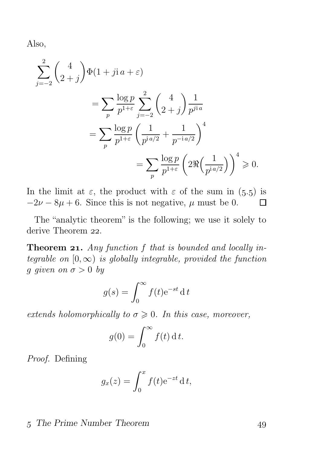Also,

$$
\sum_{j=-2}^{2} {4 \choose 2+j} \Phi(1+j)a + \varepsilon
$$
\n
$$
= \sum_{p} \frac{\log p}{p^{1+\varepsilon}} \sum_{j=-2}^{2} {4 \choose 2+j} \frac{1}{p^{jia}}
$$
\n
$$
= \sum_{p} \frac{\log p}{p^{1+\varepsilon}} \left( \frac{1}{p^{ia/2}} + \frac{1}{p^{-ia/2}} \right)^4
$$
\n
$$
= \sum_{p} \frac{\log p}{p^{1+\varepsilon}} \left( 2\Re\left(\frac{1}{p^{ia/2}}\right) \right)^4 \ge 0.
$$

In the limit at  $\varepsilon$ , the product with  $\varepsilon$  of the sum in (5.5) is  $-2\nu - 8\mu + 6$ . Since this is not negative,  $\mu$  must be 0. П

The "analytic theorem" is the following; we use it solely to derive Theorem 22.

**Theorem 21.** Any function f that is bounded and locally integrable on  $[0, \infty)$  is globally integrable, provided the function g given on  $\sigma > 0$  by

$$
g(s) = \int_0^\infty f(t) e^{-st} dt
$$

extends holomorphically to  $\sigma \geq 0$ . In this case, moreover,

$$
g(0) = \int_0^\infty f(t) \, \mathrm{d} \, t.
$$

Proof. Defining

$$
g_x(z) = \int_0^x f(t)e^{-zt} dt,
$$

### 5 The Prime Number Theorem 49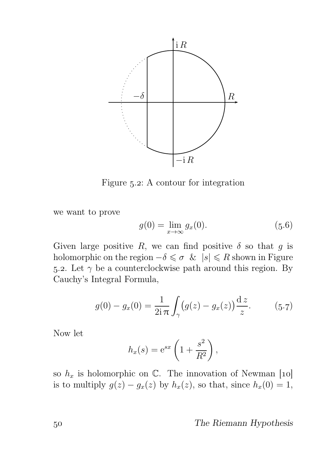

Figure  $5.2$ : A contour for integration

we want to prove

$$
g(0) = \lim_{x \to \infty} g_x(0).
$$
 (5.6)

Given large positive R, we can find positive  $\delta$  so that g is holomorphic on the region  $-\delta \leq \sigma \leq |s| \leq R$  shown in Figure 5.2. Let  $\gamma$  be a counterclockwise path around this region. By Cauchy's Integral Formula,

$$
g(0) - g_x(0) = \frac{1}{2i\pi} \int_{\gamma} (g(z) - g_x(z)) \frac{dz}{z}.
$$
 (5.7)

Now let

$$
h_x(s) = e^{sx} \left( 1 + \frac{s^2}{R^2} \right),
$$

so  $h_x$  is holomorphic on C. The innovation of Newman [10] is to multiply  $g(z) - g_x(z)$  by  $h_x(z)$ , so that, since  $h_x(0) = 1$ ,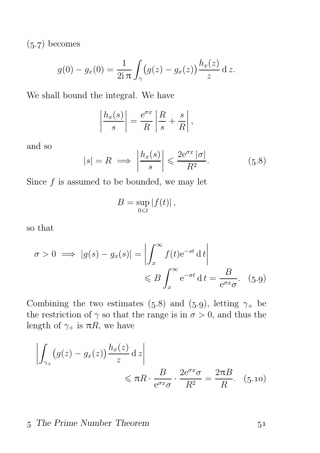$(5.7)$  becomes

$$
g(0) - g_x(0) = \frac{1}{2i\,\pi} \int_{\gamma} (g(z) - g_x(z)) \frac{h_x(z)}{z} \,dz.
$$

We shall bound the integral. We have

$$
\left|\frac{h_x(s)}{s}\right| = \frac{e^{\sigma x}}{R}\left|\frac{R}{s} + \frac{s}{R}\right|,
$$

and so

$$
|s| = R \implies \left| \frac{h_x(s)}{s} \right| \leqslant \frac{2e^{\sigma x} |\sigma|}{R^2}.
$$
 (5.8)

Since  $f$  is assumed to be bounded, we may let

$$
B=\sup_{0\leq t}|f(t)|,
$$

so that

$$
\sigma > 0 \implies |g(s) - g_x(s)| = \left| \int_x^{\infty} f(t) e^{-st} dt \right|
$$
  

$$
\leq B \int_x^{\infty} e^{-\sigma t} dt = \frac{B}{e^{\sigma x} \sigma}.
$$
 (5.9)

Combining the two estimates (5.8) and (5.9), letting  $\gamma_+$  be the restriction of  $\gamma$  so that the range is in  $\sigma > 0$ , and thus the length of  $\gamma_+$  is  $\pi R$ , we have

$$
\left| \int_{\gamma_+} (g(z) - g_x(z)) \frac{h_x(z)}{z} dz \right| \leq \pi R \cdot \frac{B}{e^{\sigma x} \sigma} \cdot \frac{2e^{\sigma x} \sigma}{R^2} = \frac{2\pi B}{R}.
$$
 (5.10)

### 5 The Prime Number Theorem 51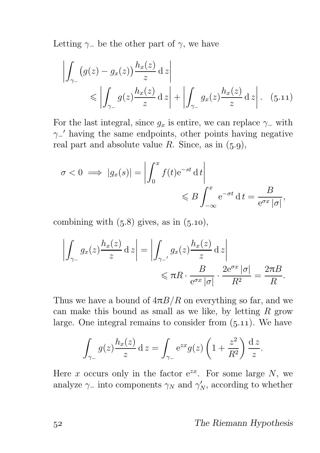Letting  $\gamma$  be the other part of  $\gamma$ , we have

$$
\left| \int_{\gamma_-} \left( g(z) - g_x(z) \right) \frac{h_x(z)}{z} \, \mathrm{d} \, z \right|
$$
\n
$$
\leqslant \left| \int_{\gamma_-} g(z) \frac{h_x(z)}{z} \, \mathrm{d} \, z \right| + \left| \int_{\gamma_-} g_x(z) \frac{h_x(z)}{z} \, \mathrm{d} \, z \right|.
$$
\n(5.11)

For the last integral, since  $g_x$  is entire, we can replace  $\gamma$  with γ− ′ having the same endpoints, other points having negative real part and absolute value R. Since, as in  $(5.9)$ ,

$$
\sigma < 0 \implies |g_x(s)| = \left| \int_0^x f(t) e^{-st} \, \mathrm{d} \, t \right| \leqslant B \int_{-\infty}^x e^{-\sigma t} \, \mathrm{d} \, t = \frac{B}{e^{\sigma x} \, |\sigma|},
$$

combining with  $(5.8)$  gives, as in  $(5.10)$ ,

$$
\left| \int_{\gamma_-} g_x(z) \frac{h_x(z)}{z} dz \right| = \left| \int_{\gamma_-} g_x(z) \frac{h_x(z)}{z} dz \right|
$$
  

$$
\leq \pi R \cdot \frac{B}{e^{\sigma x} |\sigma|} \cdot \frac{2e^{\sigma x} |\sigma|}{R^2} = \frac{2\pi B}{R}.
$$

Thus we have a bound of  $4\pi B/R$  on everything so far, and we can make this bound as small as we like, by letting  $R$  grow large. One integral remains to consider from  $(5.11)$ . We have

$$
\int_{\gamma_-} g(z) \frac{h_x(z)}{z} dz = \int_{\gamma_-} e^{zx} g(z) \left( 1 + \frac{z^2}{R^2} \right) \frac{dz}{z}.
$$

Here x occurs only in the factor  $e^{zx}$ . For some large N, we analyze  $\gamma$ <sub>−</sub> into components  $\gamma_N$  and  $\gamma'_N$ , according to whether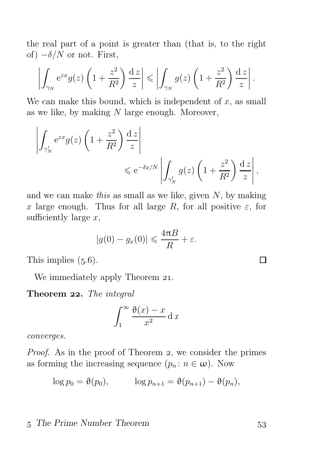the real part of a point is greater than (that is, to the right of)  $-\delta/N$  or not. First,

$$
\left| \int_{\gamma_N} e^{zx} g(z) \left( 1 + \frac{z^2}{R^2} \right) \frac{dz}{z} \right| \leqslant \left| \int_{\gamma_N} g(z) \left( 1 + \frac{z^2}{R^2} \right) \frac{dz}{z} \right|.
$$

We can make this bound, which is independent of  $x$ , as small as we like, by making  $N$  large enough. Moreover,

$$
\left| \int_{\gamma'_N} e^{zx} g(z) \left( 1 + \frac{z^2}{R^2} \right) \frac{dz}{z} \right|
$$
  
  $\leq e^{-\delta x/N} \left| \int_{\gamma'_N} g(z) \left( 1 + \frac{z^2}{R^2} \right) \frac{dz}{z} \right|,$ 

and we can make this as small as we like, given  $N$ , by making x large enough. Thus for all large R, for all positive  $\varepsilon$ , for sufficiently large  $x$ ,

$$
|g(0) - g_x(0)| \leq \frac{4\pi B}{R} + \varepsilon.
$$

This implies  $(5.6)$ .

We immediately apply Theorem 21.

Theorem 22. The integral

$$
\int_{1}^{\infty} \frac{\vartheta(x) - x}{x^2} \, \mathrm{d}x
$$

converges.

*Proof.* As in the proof of Theorem 2, we consider the primes as forming the increasing sequence  $(p_n : n \in \omega)$ . Now

$$
\log p_0 = \vartheta(p_0), \qquad \log p_{n+1} = \vartheta(p_{n+1}) - \vartheta(p_n),
$$

### 5 The Prime Number Theorem 53

П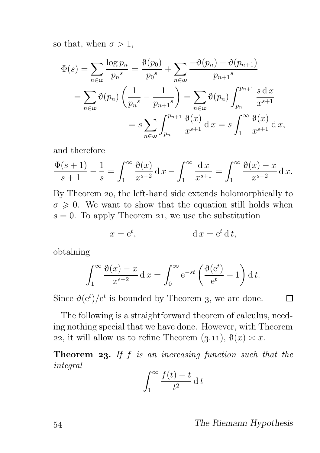so that, when  $\sigma > 1$ ,

$$
\Phi(s) = \sum_{n \in \omega} \frac{\log p_n}{p_n^s} = \frac{\vartheta(p_0)}{p_0^s} + \sum_{n \in \omega} \frac{-\vartheta(p_n) + \vartheta(p_{n+1})}{p_{n+1}^s}
$$

$$
= \sum_{n \in \omega} \vartheta(p_n) \left(\frac{1}{p_n^s} - \frac{1}{p_{n+1}^s}\right) = \sum_{n \in \omega} \vartheta(p_n) \int_{p_n}^{p_{n+1}} \frac{s \, dx}{x^{s+1}}
$$

$$
= s \sum_{n \in \omega} \int_{p_n}^{p_{n+1}} \frac{\vartheta(x)}{x^{s+1}} dx = s \int_{1}^{\infty} \frac{\vartheta(x)}{x^{s+1}} dx,
$$

and therefore

$$
\frac{\Phi(s+1)}{s+1} - \frac{1}{s} = \int_1^{\infty} \frac{\Theta(x)}{x^{s+2}} dx - \int_1^{\infty} \frac{dx}{x^{s+1}} = \int_1^{\infty} \frac{\Theta(x) - x}{x^{s+2}} dx.
$$

By Theorem 20, the left-hand side extends holomorphically to  $\sigma \geq 0$ . We want to show that the equation still holds when  $s = 0$ . To apply Theorem 21, we use the substitution

$$
x = e^t, \qquad \qquad d\,x = e^t\,d\,t,
$$

obtaining

$$
\int_1^{\infty} \frac{\vartheta(x) - x}{x^{s+2}} dx = \int_0^{\infty} e^{-st} \left( \frac{\vartheta(e^t)}{e^t} - 1 \right) dt.
$$

Since  $\vartheta(e^t)/e^t$  is bounded by Theorem 3, we are done.

The following is a straightforward theorem of calculus, needing nothing special that we have done. However, with Theorem 22, it will allow us to refine Theorem  $(3.11), \vartheta(x) \simeq x$ .

**Theorem 23.** If  $f$  is an increasing function such that the integral

$$
\int_{1}^{\infty} \frac{f(t) - t}{t^2} \, \mathrm{d} \, t
$$

Π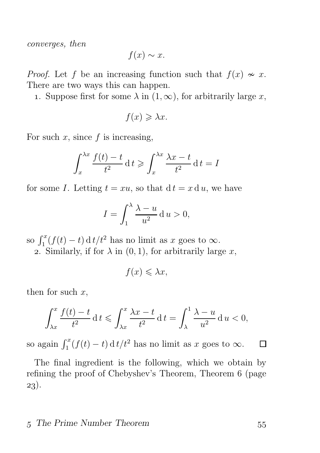converges, then

$$
f(x) \sim x.
$$

*Proof.* Let f be an increasing function such that  $f(x) \sim x$ . There are two ways this can happen.

1. Suppose first for some  $\lambda$  in  $(1, \infty)$ , for arbitrarily large x,

$$
f(x) \geq \lambda x.
$$

For such  $x$ , since  $f$  is increasing,

$$
\int_{x}^{\lambda x} \frac{f(t) - t}{t^2} dt \ge \int_{x}^{\lambda x} \frac{\lambda x - t}{t^2} dt = I
$$

for some I. Letting  $t = xu$ , so that  $dt = x du$ , we have

$$
I = \int_1^{\lambda} \frac{\lambda - u}{u^2} \, \mathrm{d}u > 0,
$$

so  $\int_1^x (f(t) - t) dt dt/t^2$  has no limit as x goes to  $\infty$ .

2. Similarly, if for  $\lambda$  in  $(0, 1)$ , for arbitrarily large x,

$$
f(x) \leq \lambda x,
$$

then for such  $x$ ,

$$
\int_{\lambda x}^x \frac{f(t) - t}{t^2} dt \leqslant \int_{\lambda x}^x \frac{\lambda x - t}{t^2} dt = \int_{\lambda}^1 \frac{\lambda - u}{u^2} du < 0,
$$

so again  $\int_1^x (f(t) - t) dt + t^2$  has no limit as x goes to  $\infty$ . □

The final ingredient is the following, which we obtain by refining the proof of Chebyshev's Theorem, Theorem (page ).

### 5 The Prime Number Theorem 55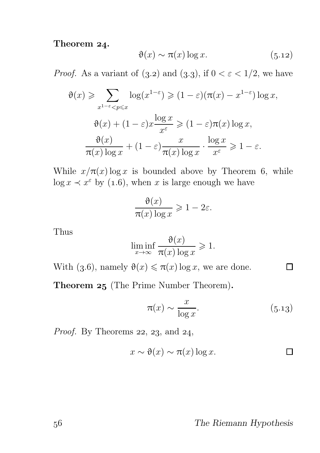## Theorem 24.

$$
\vartheta(x) \sim \pi(x) \log x. \tag{5.12}
$$

*Proof.* As a variant of  $(3.2)$  and  $(3.3)$ , if  $0 < \varepsilon < 1/2$ , we have

$$
\vartheta(x) \geqslant \sum_{x^{1-\varepsilon} < p \leqslant x} \log(x^{1-\varepsilon}) \geqslant (1-\varepsilon)(\pi(x) - x^{1-\varepsilon}) \log x,
$$

$$
\vartheta(x) + (1-\varepsilon)x \frac{\log x}{x^{\varepsilon}} \geqslant (1-\varepsilon)\pi(x) \log x,
$$

$$
\frac{\vartheta(x)}{\pi(x) \log x} + (1-\varepsilon) \frac{x}{\pi(x) \log x} \cdot \frac{\log x}{x^{\varepsilon}} \geqslant 1-\varepsilon.
$$

While  $x/\pi(x) \log x$  is bounded above by Theorem 6, while  $\log x \prec x^{\varepsilon}$  by (1.6), when x is large enough we have

$$
\frac{\vartheta(x)}{\pi(x)\log x} \geq 1 - 2\varepsilon.
$$

Thus

$$
\liminf_{x \to \infty} \frac{\vartheta(x)}{\pi(x) \log x} \geq 1.
$$

With (3.6), namely  $\vartheta(x) \leq \pi(x) \log x$ , we are done.

Theorem 25 (The Prime Number Theorem).

$$
\pi(x) \sim \frac{x}{\log x}.\tag{5.13}
$$

 $\Box$ 

*Proof.* By Theorems  $22$ ,  $23$ , and  $24$ ,

$$
x \sim \vartheta(x) \sim \pi(x) \log x.
$$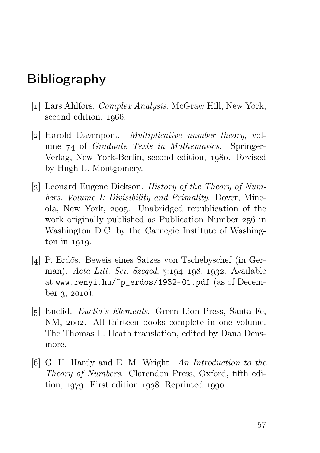## Bibliography

- [1] Lars Ahlfors. *Complex Analysis*. McGraw Hill, New York, second edition, 1966.
- [2] Harold Davenport. *Multiplicative number theory*, volume  $74$  of *Graduate Texts in Mathematics*. Springer-Verlag, New York-Berlin, second edition, 1980. Revised by Hugh L. Montgomery.
- [3] Leonard Eugene Dickson. History of the Theory of Numbers. Volume I: Divisibility and Primality. Dover, Mineola, New York, 2005. Unabridged republication of the work originally published as Publication Number  $256$  in Washington D.C. by the Carnegie Institute of Washing- $\frac{\text{ton in } 1919.}{\text{cm}}$
- [4] P. Erdős. Beweis eines Satzes von Tschebyschef (in German). Acta Litt. Sci. Szeged,  $5:194-198$ , 1932. Available at www.renyi.hu/~p\_erdos/1932-01.pdf (as of December  $3, 2010$ ).
- [5] Euclid. *Euclid's Elements*. Green Lion Press, Santa Fe, NM, 2002. All thirteen books complete in one volume. The Thomas L. Heath translation, edited by Dana Densmore.
- [6] G. H. Hardy and E. M. Wright. An Introduction to the Theory of Numbers. Clarendon Press, Oxford, fifth edition,  $1979$ . First edition  $1938$ . Reprinted  $1990$ .